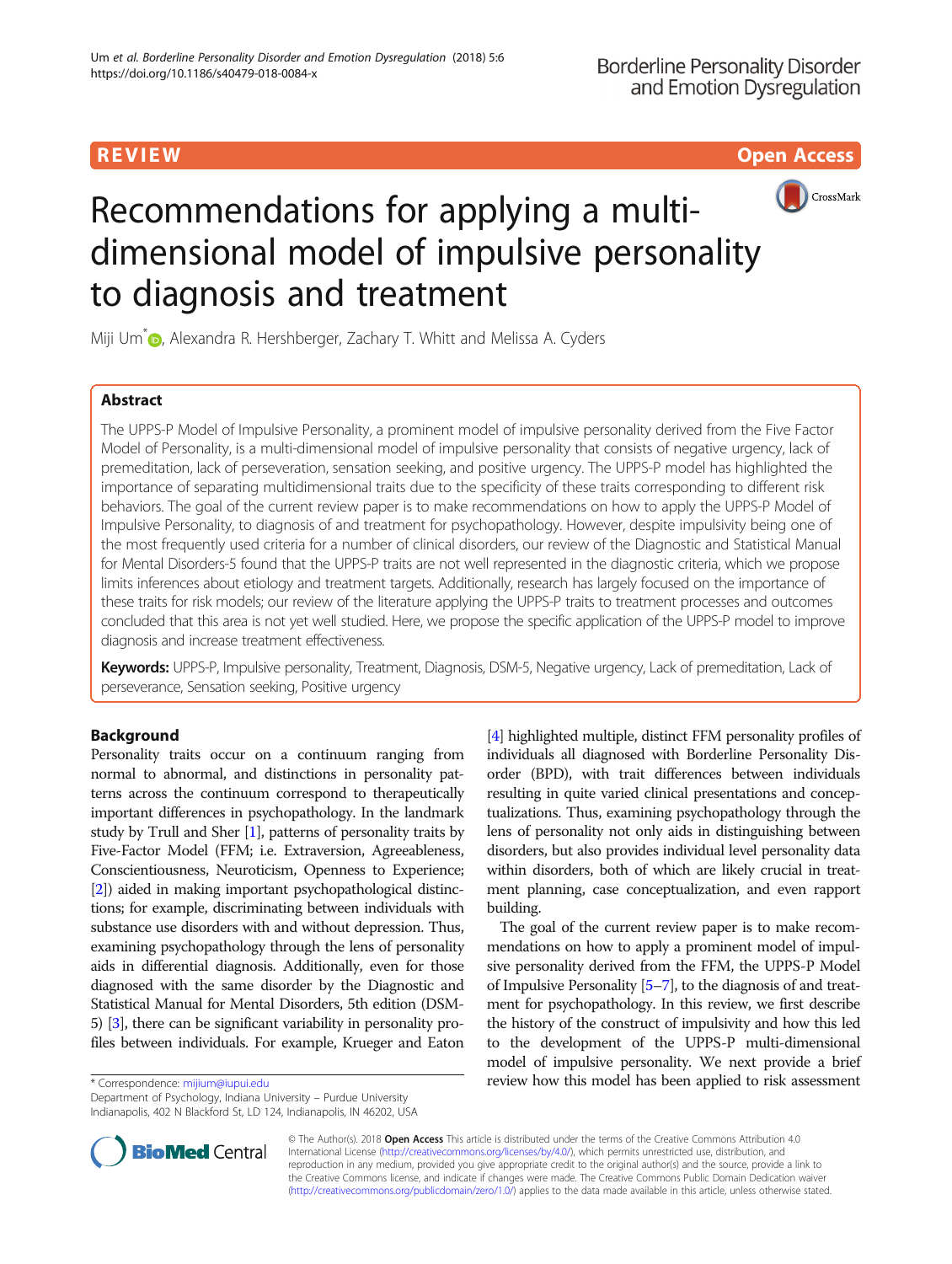R EVI EW Open Access



# Recommendations for applying a multidimensional model of impulsive personality to diagnosis and treatment

Miji Um<sup>[\\*](http://orcid.org/0000-0001-7688-9908)</sup> <sub>(D</sub>, Alexandra R. Hershberger, Zachary T. Whitt and Melissa A. Cyders

## Abstract

The UPPS-P Model of Impulsive Personality, a prominent model of impulsive personality derived from the Five Factor Model of Personality, is a multi-dimensional model of impulsive personality that consists of negative urgency, lack of premeditation, lack of perseveration, sensation seeking, and positive urgency. The UPPS-P model has highlighted the importance of separating multidimensional traits due to the specificity of these traits corresponding to different risk behaviors. The goal of the current review paper is to make recommendations on how to apply the UPPS-P Model of Impulsive Personality, to diagnosis of and treatment for psychopathology. However, despite impulsivity being one of the most frequently used criteria for a number of clinical disorders, our review of the Diagnostic and Statistical Manual for Mental Disorders-5 found that the UPPS-P traits are not well represented in the diagnostic criteria, which we propose limits inferences about etiology and treatment targets. Additionally, research has largely focused on the importance of these traits for risk models; our review of the literature applying the UPPS-P traits to treatment processes and outcomes concluded that this area is not yet well studied. Here, we propose the specific application of the UPPS-P model to improve diagnosis and increase treatment effectiveness.

Keywords: UPPS-P, Impulsive personality, Treatment, Diagnosis, DSM-5, Negative urgency, Lack of premeditation, Lack of perseverance, Sensation seeking, Positive urgency

## Background

Personality traits occur on a continuum ranging from normal to abnormal, and distinctions in personality patterns across the continuum correspond to therapeutically important differences in psychopathology. In the landmark study by Trull and Sher [[1](#page-13-0)], patterns of personality traits by Five-Factor Model (FFM; i.e. Extraversion, Agreeableness, Conscientiousness, Neuroticism, Openness to Experience; [[2](#page-13-0)]) aided in making important psychopathological distinctions; for example, discriminating between individuals with substance use disorders with and without depression. Thus, examining psychopathology through the lens of personality aids in differential diagnosis. Additionally, even for those diagnosed with the same disorder by the Diagnostic and Statistical Manual for Mental Disorders, 5th edition (DSM-5) [\[3\]](#page-13-0), there can be significant variability in personality profiles between individuals. For example, Krueger and Eaton

Department of Psychology, Indiana University – Purdue University Indianapolis, 402 N Blackford St, LD 124, Indianapolis, IN 46202, USA



The goal of the current review paper is to make recommendations on how to apply a prominent model of impulsive personality derived from the FFM, the UPPS-P Model of Impulsive Personality [\[5](#page-13-0)–[7](#page-13-0)], to the diagnosis of and treatment for psychopathology. In this review, we first describe the history of the construct of impulsivity and how this led to the development of the UPPS-P multi-dimensional model of impulsive personality. We next provide a brief \* Correspondence: [mijium@iupui.edu](mailto:mijium@iupui.edu) review how this model has been applied to risk assessment



© The Author(s). 2018 Open Access This article is distributed under the terms of the Creative Commons Attribution 4.0 International License [\(http://creativecommons.org/licenses/by/4.0/](http://creativecommons.org/licenses/by/4.0/)), which permits unrestricted use, distribution, and reproduction in any medium, provided you give appropriate credit to the original author(s) and the source, provide a link to the Creative Commons license, and indicate if changes were made. The Creative Commons Public Domain Dedication waiver [\(http://creativecommons.org/publicdomain/zero/1.0/](http://creativecommons.org/publicdomain/zero/1.0/)) applies to the data made available in this article, unless otherwise stated.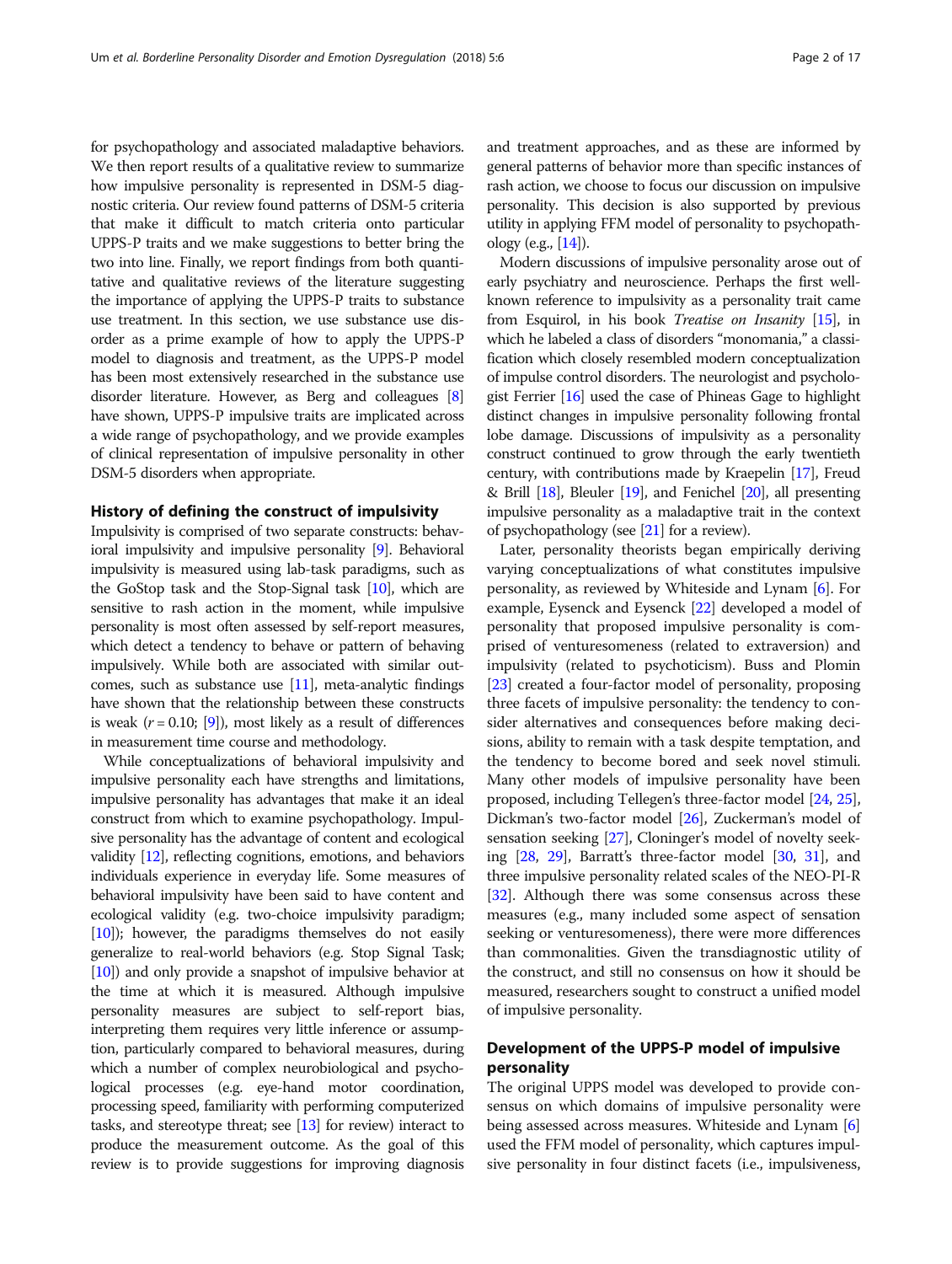for psychopathology and associated maladaptive behaviors. We then report results of a qualitative review to summarize how impulsive personality is represented in DSM-5 diagnostic criteria. Our review found patterns of DSM-5 criteria that make it difficult to match criteria onto particular UPPS-P traits and we make suggestions to better bring the two into line. Finally, we report findings from both quantitative and qualitative reviews of the literature suggesting the importance of applying the UPPS-P traits to substance use treatment. In this section, we use substance use disorder as a prime example of how to apply the UPPS-P model to diagnosis and treatment, as the UPPS-P model has been most extensively researched in the substance use disorder literature. However, as Berg and colleagues [[8](#page-13-0)] have shown, UPPS-P impulsive traits are implicated across a wide range of psychopathology, and we provide examples of clinical representation of impulsive personality in other DSM-5 disorders when appropriate.

#### History of defining the construct of impulsivity

Impulsivity is comprised of two separate constructs: behavioral impulsivity and impulsive personality [[9](#page-13-0)]. Behavioral impulsivity is measured using lab-task paradigms, such as the GoStop task and the Stop-Signal task [\[10\]](#page-13-0), which are sensitive to rash action in the moment, while impulsive personality is most often assessed by self-report measures, which detect a tendency to behave or pattern of behaving impulsively. While both are associated with similar outcomes, such as substance use  $[11]$ , meta-analytic findings have shown that the relationship between these constructs is weak  $(r = 0.10; [9])$  $(r = 0.10; [9])$  $(r = 0.10; [9])$ , most likely as a result of differences in measurement time course and methodology.

While conceptualizations of behavioral impulsivity and impulsive personality each have strengths and limitations, impulsive personality has advantages that make it an ideal construct from which to examine psychopathology. Impulsive personality has the advantage of content and ecological validity [[12](#page-13-0)], reflecting cognitions, emotions, and behaviors individuals experience in everyday life. Some measures of behavioral impulsivity have been said to have content and ecological validity (e.g. two-choice impulsivity paradigm; [[10](#page-13-0)]); however, the paradigms themselves do not easily generalize to real-world behaviors (e.g. Stop Signal Task; [[10](#page-13-0)]) and only provide a snapshot of impulsive behavior at the time at which it is measured. Although impulsive personality measures are subject to self-report bias, interpreting them requires very little inference or assumption, particularly compared to behavioral measures, during which a number of complex neurobiological and psychological processes (e.g. eye-hand motor coordination, processing speed, familiarity with performing computerized tasks, and stereotype threat; see  $[13]$  for review) interact to produce the measurement outcome. As the goal of this review is to provide suggestions for improving diagnosis and treatment approaches, and as these are informed by general patterns of behavior more than specific instances of rash action, we choose to focus our discussion on impulsive personality. This decision is also supported by previous utility in applying FFM model of personality to psychopathology (e.g., [\[14\]](#page-13-0)).

Modern discussions of impulsive personality arose out of early psychiatry and neuroscience. Perhaps the first wellknown reference to impulsivity as a personality trait came from Esquirol, in his book Treatise on Insanity [\[15\]](#page-13-0), in which he labeled a class of disorders "monomania," a classification which closely resembled modern conceptualization of impulse control disorders. The neurologist and psychologist Ferrier [[16](#page-13-0)] used the case of Phineas Gage to highlight distinct changes in impulsive personality following frontal lobe damage. Discussions of impulsivity as a personality construct continued to grow through the early twentieth century, with contributions made by Kraepelin [[17](#page-13-0)], Freud & Brill [\[18\]](#page-13-0), Bleuler [[19](#page-13-0)], and Fenichel [[20](#page-13-0)], all presenting impulsive personality as a maladaptive trait in the context of psychopathology (see [[21](#page-13-0)] for a review).

Later, personality theorists began empirically deriving varying conceptualizations of what constitutes impulsive personality, as reviewed by Whiteside and Lynam [[6](#page-13-0)]. For example, Eysenck and Eysenck [\[22\]](#page-13-0) developed a model of personality that proposed impulsive personality is comprised of venturesomeness (related to extraversion) and impulsivity (related to psychoticism). Buss and Plomin [[23](#page-13-0)] created a four-factor model of personality, proposing three facets of impulsive personality: the tendency to consider alternatives and consequences before making decisions, ability to remain with a task despite temptation, and the tendency to become bored and seek novel stimuli. Many other models of impulsive personality have been proposed, including Tellegen's three-factor model [\[24,](#page-13-0) [25](#page-13-0)], Dickman's two-factor model [[26](#page-13-0)], Zuckerman's model of sensation seeking [[27\]](#page-13-0), Cloninger's model of novelty seeking [[28](#page-13-0), [29](#page-13-0)], Barratt's three-factor model [[30](#page-13-0), [31](#page-13-0)], and three impulsive personality related scales of the NEO-PI-R [[32](#page-13-0)]. Although there was some consensus across these measures (e.g., many included some aspect of sensation seeking or venturesomeness), there were more differences than commonalities. Given the transdiagnostic utility of the construct, and still no consensus on how it should be measured, researchers sought to construct a unified model of impulsive personality.

## Development of the UPPS-P model of impulsive personality

The original UPPS model was developed to provide consensus on which domains of impulsive personality were being assessed across measures. Whiteside and Lynam [[6](#page-13-0)] used the FFM model of personality, which captures impulsive personality in four distinct facets (i.e., impulsiveness,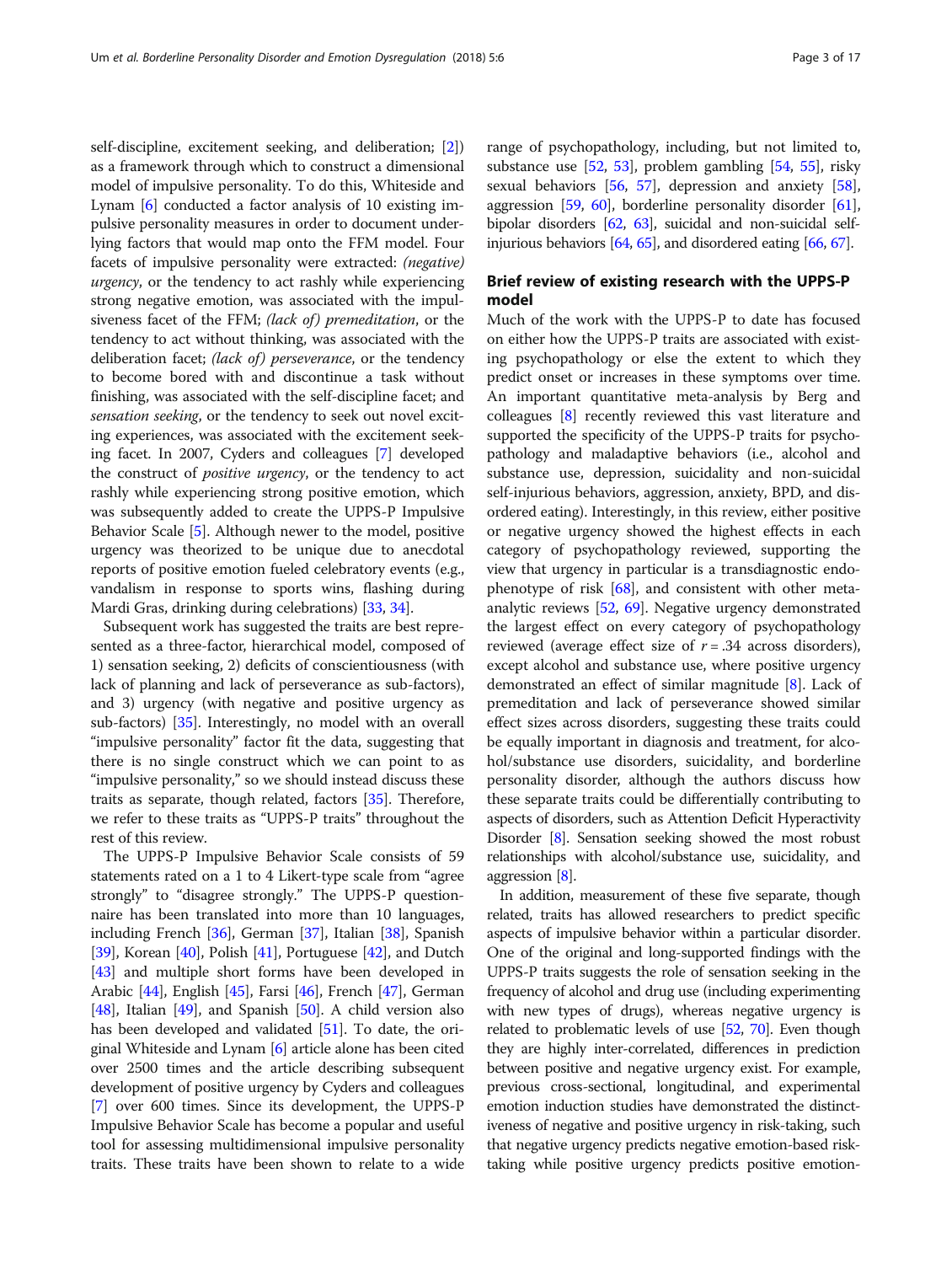self-discipline, excitement seeking, and deliberation; [\[2](#page-13-0)]) as a framework through which to construct a dimensional model of impulsive personality. To do this, Whiteside and Lynam [\[6\]](#page-13-0) conducted a factor analysis of 10 existing impulsive personality measures in order to document underlying factors that would map onto the FFM model. Four facets of impulsive personality were extracted: (negative) urgency, or the tendency to act rashly while experiencing strong negative emotion, was associated with the impulsiveness facet of the FFM; (lack of) premeditation, or the tendency to act without thinking, was associated with the deliberation facet; (lack of) perseverance, or the tendency to become bored with and discontinue a task without finishing, was associated with the self-discipline facet; and sensation seeking, or the tendency to seek out novel exciting experiences, was associated with the excitement seeking facet. In 2007, Cyders and colleagues [[7\]](#page-13-0) developed the construct of positive urgency, or the tendency to act rashly while experiencing strong positive emotion, which was subsequently added to create the UPPS-P Impulsive Behavior Scale [\[5](#page-13-0)]. Although newer to the model, positive urgency was theorized to be unique due to anecdotal reports of positive emotion fueled celebratory events (e.g., vandalism in response to sports wins, flashing during Mardi Gras, drinking during celebrations) [[33](#page-13-0), [34\]](#page-14-0).

Subsequent work has suggested the traits are best represented as a three-factor, hierarchical model, composed of 1) sensation seeking, 2) deficits of conscientiousness (with lack of planning and lack of perseverance as sub-factors), and 3) urgency (with negative and positive urgency as sub-factors) [\[35\]](#page-14-0). Interestingly, no model with an overall "impulsive personality" factor fit the data, suggesting that there is no single construct which we can point to as "impulsive personality," so we should instead discuss these traits as separate, though related, factors [\[35\]](#page-14-0). Therefore, we refer to these traits as "UPPS-P traits" throughout the rest of this review.

The UPPS-P Impulsive Behavior Scale consists of 59 statements rated on a 1 to 4 Likert-type scale from "agree strongly" to "disagree strongly." The UPPS-P questionnaire has been translated into more than 10 languages, including French [\[36\]](#page-14-0), German [\[37](#page-14-0)], Italian [[38\]](#page-14-0), Spanish [[39](#page-14-0)], Korean [[40\]](#page-14-0), Polish [\[41\]](#page-14-0), Portuguese [[42](#page-14-0)], and Dutch [[43](#page-14-0)] and multiple short forms have been developed in Arabic [[44](#page-14-0)], English [[45](#page-14-0)], Farsi [\[46\]](#page-14-0), French [\[47](#page-14-0)], German [[48](#page-14-0)], Italian [\[49\]](#page-14-0), and Spanish [[50\]](#page-14-0). A child version also has been developed and validated [\[51](#page-14-0)]. To date, the original Whiteside and Lynam [\[6\]](#page-13-0) article alone has been cited over 2500 times and the article describing subsequent development of positive urgency by Cyders and colleagues [[7\]](#page-13-0) over 600 times. Since its development, the UPPS-P Impulsive Behavior Scale has become a popular and useful tool for assessing multidimensional impulsive personality traits. These traits have been shown to relate to a wide range of psychopathology, including, but not limited to, substance use [\[52,](#page-14-0) [53\]](#page-14-0), problem gambling [[54,](#page-14-0) [55](#page-14-0)], risky sexual behaviors [\[56,](#page-14-0) [57\]](#page-14-0), depression and anxiety [[58](#page-14-0)], aggression  $[59, 60]$  $[59, 60]$  $[59, 60]$  $[59, 60]$ , borderline personality disorder  $[61]$  $[61]$  $[61]$ , bipolar disorders [\[62,](#page-14-0) [63](#page-14-0)], suicidal and non-suicidal selfinjurious behaviors  $[64, 65]$  $[64, 65]$  $[64, 65]$  $[64, 65]$  $[64, 65]$ , and disordered eating  $[66, 67]$  $[66, 67]$  $[66, 67]$  $[66, 67]$ .

## Brief review of existing research with the UPPS-P model

Much of the work with the UPPS-P to date has focused on either how the UPPS-P traits are associated with existing psychopathology or else the extent to which they predict onset or increases in these symptoms over time. An important quantitative meta-analysis by Berg and colleagues [\[8](#page-13-0)] recently reviewed this vast literature and supported the specificity of the UPPS-P traits for psychopathology and maladaptive behaviors (i.e., alcohol and substance use, depression, suicidality and non-suicidal self-injurious behaviors, aggression, anxiety, BPD, and disordered eating). Interestingly, in this review, either positive or negative urgency showed the highest effects in each category of psychopathology reviewed, supporting the view that urgency in particular is a transdiagnostic endophenotype of risk  $[68]$ , and consistent with other metaanalytic reviews [\[52](#page-14-0), [69\]](#page-14-0). Negative urgency demonstrated the largest effect on every category of psychopathology reviewed (average effect size of  $r = .34$  across disorders), except alcohol and substance use, where positive urgency demonstrated an effect of similar magnitude [\[8\]](#page-13-0). Lack of premeditation and lack of perseverance showed similar effect sizes across disorders, suggesting these traits could be equally important in diagnosis and treatment, for alcohol/substance use disorders, suicidality, and borderline personality disorder, although the authors discuss how these separate traits could be differentially contributing to aspects of disorders, such as Attention Deficit Hyperactivity Disorder [[8](#page-13-0)]. Sensation seeking showed the most robust relationships with alcohol/substance use, suicidality, and aggression [\[8\]](#page-13-0).

In addition, measurement of these five separate, though related, traits has allowed researchers to predict specific aspects of impulsive behavior within a particular disorder. One of the original and long-supported findings with the UPPS-P traits suggests the role of sensation seeking in the frequency of alcohol and drug use (including experimenting with new types of drugs), whereas negative urgency is related to problematic levels of use [\[52,](#page-14-0) [70\]](#page-14-0). Even though they are highly inter-correlated, differences in prediction between positive and negative urgency exist. For example, previous cross-sectional, longitudinal, and experimental emotion induction studies have demonstrated the distinctiveness of negative and positive urgency in risk-taking, such that negative urgency predicts negative emotion-based risktaking while positive urgency predicts positive emotion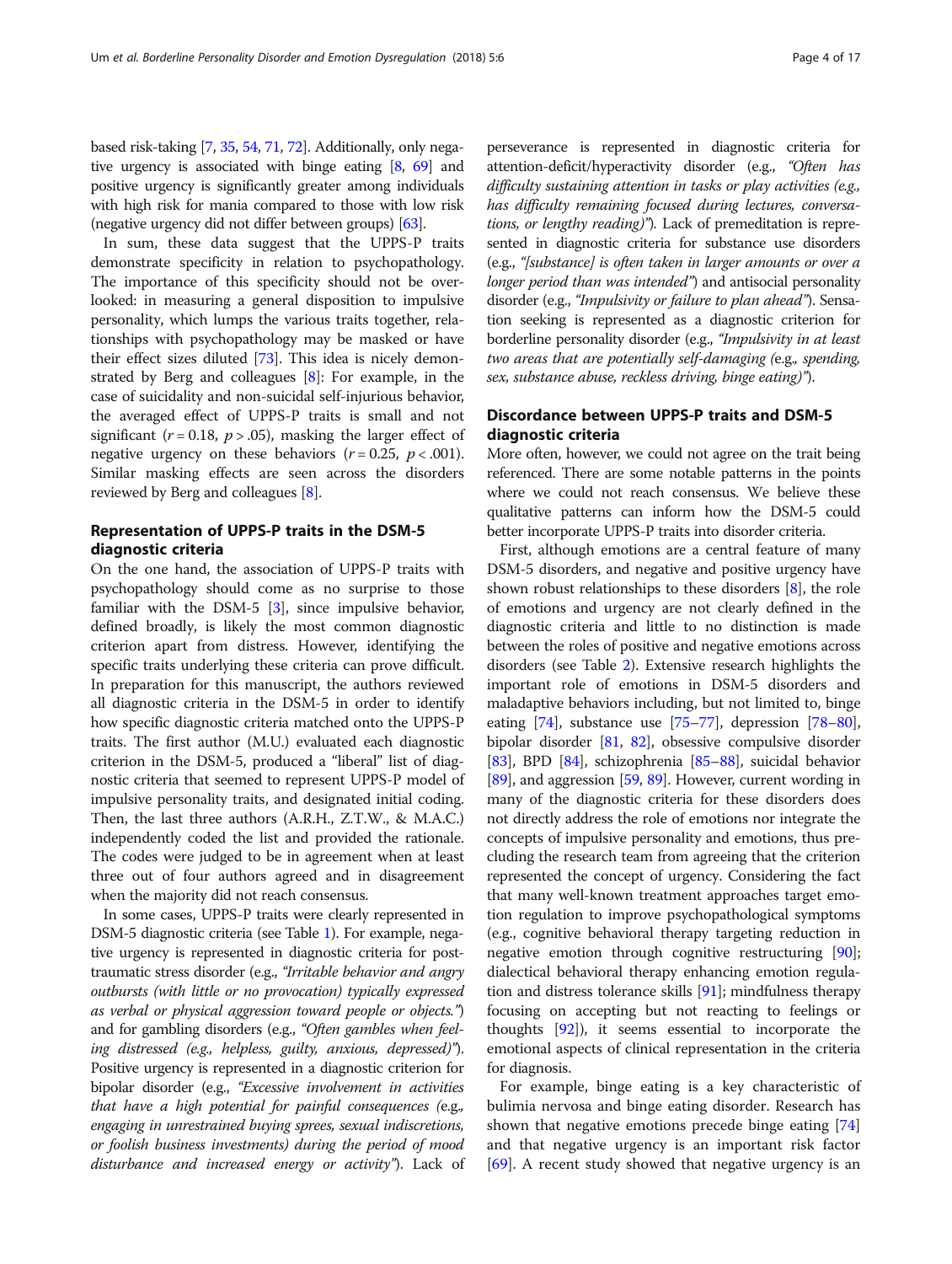based risk-taking [\[7](#page-13-0), [35](#page-14-0), [54](#page-14-0), [71](#page-14-0), [72](#page-14-0)]. Additionally, only negative urgency is associated with binge eating [[8](#page-13-0), [69\]](#page-14-0) and positive urgency is significantly greater among individuals with high risk for mania compared to those with low risk (negative urgency did not differ between groups) [\[63\]](#page-14-0).

In sum, these data suggest that the UPPS-P traits demonstrate specificity in relation to psychopathology. The importance of this specificity should not be overlooked: in measuring a general disposition to impulsive personality, which lumps the various traits together, relationships with psychopathology may be masked or have their effect sizes diluted [[73](#page-14-0)]. This idea is nicely demonstrated by Berg and colleagues [[8\]](#page-13-0): For example, in the case of suicidality and non-suicidal self-injurious behavior, the averaged effect of UPPS-P traits is small and not significant ( $r = 0.18$ ,  $p > .05$ ), masking the larger effect of negative urgency on these behaviors  $(r = 0.25, p < .001)$ . Similar masking effects are seen across the disorders reviewed by Berg and colleagues [\[8](#page-13-0)].

## Representation of UPPS-P traits in the DSM-5 diagnostic criteria

On the one hand, the association of UPPS-P traits with psychopathology should come as no surprise to those familiar with the DSM-5 [[3\]](#page-13-0), since impulsive behavior, defined broadly, is likely the most common diagnostic criterion apart from distress. However, identifying the specific traits underlying these criteria can prove difficult. In preparation for this manuscript, the authors reviewed all diagnostic criteria in the DSM-5 in order to identify how specific diagnostic criteria matched onto the UPPS-P traits. The first author (M.U.) evaluated each diagnostic criterion in the DSM-5, produced a "liberal" list of diagnostic criteria that seemed to represent UPPS-P model of impulsive personality traits, and designated initial coding. Then, the last three authors (A.R.H., Z.T.W., & M.A.C.) independently coded the list and provided the rationale. The codes were judged to be in agreement when at least three out of four authors agreed and in disagreement when the majority did not reach consensus.

In some cases, UPPS-P traits were clearly represented in DSM-5 diagnostic criteria (see Table [1](#page-4-0)). For example, negative urgency is represented in diagnostic criteria for posttraumatic stress disorder (e.g., "Irritable behavior and angry outbursts (with little or no provocation) typically expressed as verbal or physical aggression toward people or objects.") and for gambling disorders (e.g., "Often gambles when feeling distressed (e.g., helpless, guilty, anxious, depressed)"). Positive urgency is represented in a diagnostic criterion for bipolar disorder (e.g., "Excessive involvement in activities that have a high potential for painful consequences (e.g., engaging in unrestrained buying sprees, sexual indiscretions, or foolish business investments) during the period of mood disturbance and increased energy or activity"). Lack of

perseverance is represented in diagnostic criteria for attention-deficit/hyperactivity disorder (e.g., "Often has difficulty sustaining attention in tasks or play activities (e.g., has difficulty remaining focused during lectures, conversations, or lengthy reading)"). Lack of premeditation is represented in diagnostic criteria for substance use disorders (e.g., "[substance] is often taken in larger amounts or over a longer period than was intended") and antisocial personality disorder (e.g., "Impulsivity or failure to plan ahead"). Sensation seeking is represented as a diagnostic criterion for borderline personality disorder (e.g., "Impulsivity in at least two areas that are potentially self-damaging (e.g., spending, sex, substance abuse, reckless driving, binge eating)").

## Discordance between UPPS-P traits and DSM-5 diagnostic criteria

More often, however, we could not agree on the trait being referenced. There are some notable patterns in the points where we could not reach consensus. We believe these qualitative patterns can inform how the DSM-5 could better incorporate UPPS-P traits into disorder criteria.

First, although emotions are a central feature of many DSM-5 disorders, and negative and positive urgency have shown robust relationships to these disorders [\[8](#page-13-0)], the role of emotions and urgency are not clearly defined in the diagnostic criteria and little to no distinction is made between the roles of positive and negative emotions across disorders (see Table [2\)](#page-6-0). Extensive research highlights the important role of emotions in DSM-5 disorders and maladaptive behaviors including, but not limited to, binge eating [\[74\]](#page-14-0), substance use [\[75](#page-14-0)–[77](#page-14-0)], depression [\[78](#page-14-0)–[80](#page-14-0)], bipolar disorder [\[81,](#page-14-0) [82](#page-15-0)], obsessive compulsive disorder [[83](#page-15-0)], BPD [[84](#page-15-0)], schizophrenia [\[85](#page-15-0)–[88](#page-15-0)], suicidal behavior [[89](#page-15-0)], and aggression [[59](#page-14-0), [89\]](#page-15-0). However, current wording in many of the diagnostic criteria for these disorders does not directly address the role of emotions nor integrate the concepts of impulsive personality and emotions, thus precluding the research team from agreeing that the criterion represented the concept of urgency. Considering the fact that many well-known treatment approaches target emotion regulation to improve psychopathological symptoms (e.g., cognitive behavioral therapy targeting reduction in negative emotion through cognitive restructuring [[90](#page-15-0)]; dialectical behavioral therapy enhancing emotion regulation and distress tolerance skills [\[91\]](#page-15-0); mindfulness therapy focusing on accepting but not reacting to feelings or thoughts [[92](#page-15-0)]), it seems essential to incorporate the emotional aspects of clinical representation in the criteria for diagnosis.

For example, binge eating is a key characteristic of bulimia nervosa and binge eating disorder. Research has shown that negative emotions precede binge eating [[74](#page-14-0)] and that negative urgency is an important risk factor [[69\]](#page-14-0). A recent study showed that negative urgency is an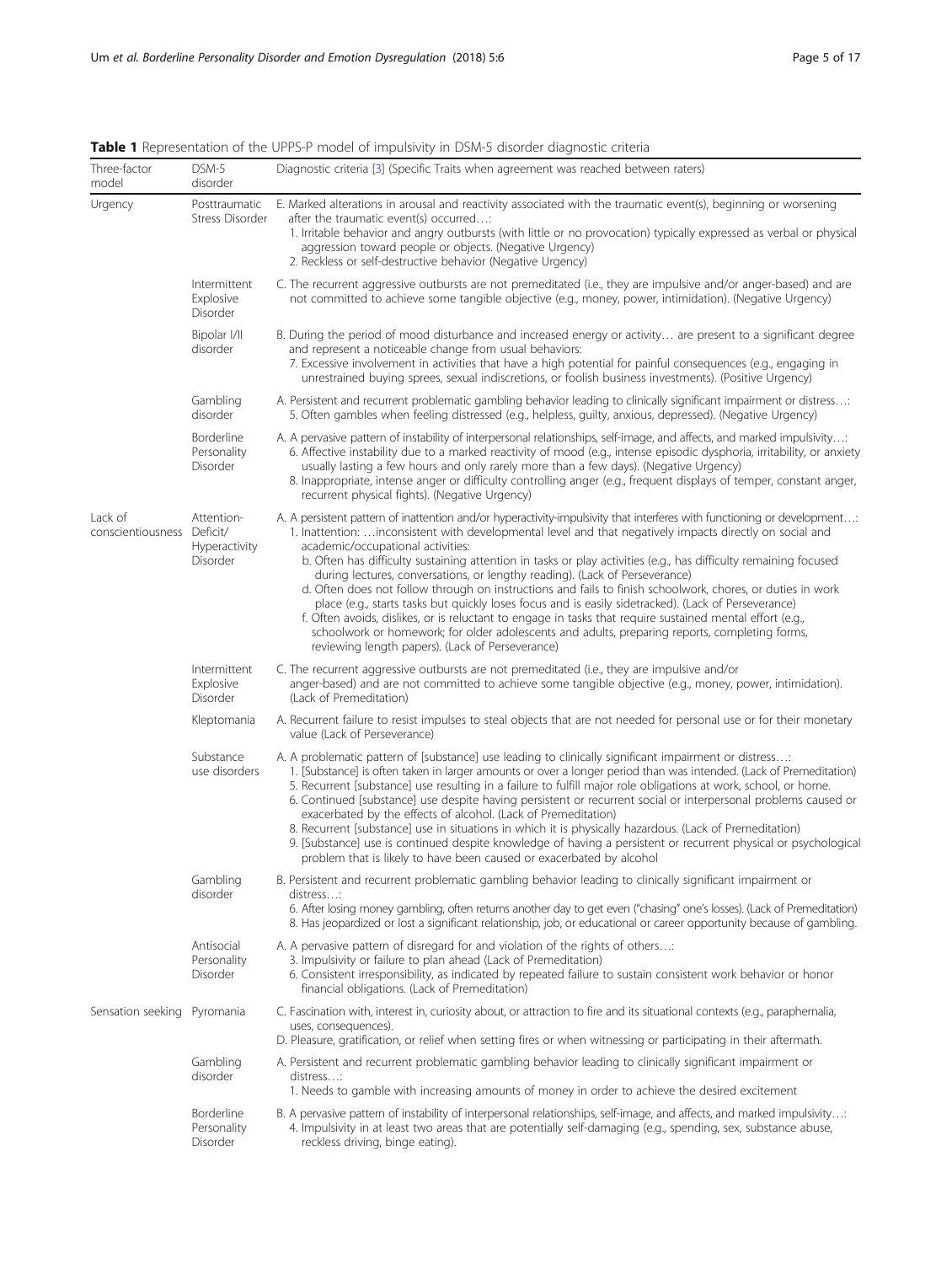<span id="page-4-0"></span>

| Three-factor<br>model                 | DSM-5<br>disorder                            | Diagnostic criteria [3] (Specific Traits when agreement was reached between raters)                                                                                                                                                                                                                                                                                                                                                                                                                                                                                                                                                                                                                                                                                                                                                                                                                                                                                   |
|---------------------------------------|----------------------------------------------|-----------------------------------------------------------------------------------------------------------------------------------------------------------------------------------------------------------------------------------------------------------------------------------------------------------------------------------------------------------------------------------------------------------------------------------------------------------------------------------------------------------------------------------------------------------------------------------------------------------------------------------------------------------------------------------------------------------------------------------------------------------------------------------------------------------------------------------------------------------------------------------------------------------------------------------------------------------------------|
| Urgency                               | Posttraumatic<br>Stress Disorder             | E. Marked alterations in arousal and reactivity associated with the traumatic event(s), beginning or worsening<br>after the traumatic event(s) occurred:<br>1. Irritable behavior and angry outbursts (with little or no provocation) typically expressed as verbal or physical<br>aggression toward people or objects. (Negative Urgency)<br>2. Reckless or self-destructive behavior (Negative Urgency)                                                                                                                                                                                                                                                                                                                                                                                                                                                                                                                                                             |
|                                       | Intermittent<br>Explosive<br>Disorder        | C. The recurrent aggressive outbursts are not premeditated (i.e., they are impulsive and/or anger-based) and are<br>not committed to achieve some tangible objective (e.g., money, power, intimidation). (Negative Urgency)                                                                                                                                                                                                                                                                                                                                                                                                                                                                                                                                                                                                                                                                                                                                           |
|                                       | Bipolar I/II<br>disorder                     | B. During the period of mood disturbance and increased energy or activity are present to a significant degree<br>and represent a noticeable change from usual behaviors:<br>7. Excessive involvement in activities that have a high potential for painful consequences (e.g., engaging in<br>unrestrained buying sprees, sexual indiscretions, or foolish business investments). (Positive Urgency)                                                                                                                                                                                                                                                                                                                                                                                                                                                                                                                                                                   |
|                                       | Gambling<br>disorder                         | A. Persistent and recurrent problematic gambling behavior leading to clinically significant impairment or distress:<br>5. Often gambles when feeling distressed (e.g., helpless, guilty, anxious, depressed). (Negative Urgency)                                                                                                                                                                                                                                                                                                                                                                                                                                                                                                                                                                                                                                                                                                                                      |
|                                       | Borderline<br>Personality<br>Disorder        | A. A pervasive pattern of instability of interpersonal relationships, self-image, and affects, and marked impulsivity:<br>6. Affective instability due to a marked reactivity of mood (e.g., intense episodic dysphoria, irritability, or anxiety<br>usually lasting a few hours and only rarely more than a few days). (Negative Urgency)<br>8. Inappropriate, intense anger or difficulty controlling anger (e.g., frequent displays of temper, constant anger,<br>recurrent physical fights). (Negative Urgency)                                                                                                                                                                                                                                                                                                                                                                                                                                                   |
| Lack of<br>conscientiousness Deficit/ | Attention-<br>Hyperactivity<br>Disorder      | A. A persistent pattern of inattention and/or hyperactivity-impulsivity that interferes with functioning or development:<br>1. Inattention: inconsistent with developmental level and that negatively impacts directly on social and<br>academic/occupational activities:<br>b. Often has difficulty sustaining attention in tasks or play activities (e.g., has difficulty remaining focused<br>during lectures, conversations, or lengthy reading). (Lack of Perseverance)<br>d. Often does not follow through on instructions and fails to finish schoolwork, chores, or duties in work<br>place (e.g., starts tasks but quickly loses focus and is easily sidetracked). (Lack of Perseverance)<br>f. Often avoids, dislikes, or is reluctant to engage in tasks that require sustained mental effort (e.g.,<br>schoolwork or homework; for older adolescents and adults, preparing reports, completing forms,<br>reviewing length papers). (Lack of Perseverance) |
|                                       | Intermittent<br>Explosive<br>Disorder        | C. The recurrent aggressive outbursts are not premeditated (i.e., they are impulsive and/or<br>anger-based) and are not committed to achieve some tangible objective (e.g., money, power, intimidation).<br>(Lack of Premeditation)                                                                                                                                                                                                                                                                                                                                                                                                                                                                                                                                                                                                                                                                                                                                   |
|                                       | Kleptomania                                  | A. Recurrent failure to resist impulses to steal objects that are not needed for personal use or for their monetary<br>value (Lack of Perseverance)                                                                                                                                                                                                                                                                                                                                                                                                                                                                                                                                                                                                                                                                                                                                                                                                                   |
|                                       | Substance<br>use disorders                   | A. A problematic pattern of [substance] use leading to clinically significant impairment or distress:<br>1. [Substance] is often taken in larger amounts or over a longer period than was intended. (Lack of Premeditation)<br>5. Recurrent [substance] use resulting in a failure to fulfill major role obligations at work, school, or home.<br>6. Continued [substance] use despite having persistent or recurrent social or interpersonal problems caused or<br>exacerbated by the effects of alcohol. (Lack of Premeditation)<br>8. Recurrent [substance] use in situations in which it is physically hazardous. (Lack of Premeditation)<br>9. [Substance] use is continued despite knowledge of having a persistent or recurrent physical or psychological<br>problem that is likely to have been caused or exacerbated by alcohol                                                                                                                              |
|                                       | Gambling<br>disorder                         | B. Persistent and recurrent problematic gambling behavior leading to clinically significant impairment or<br>distress:<br>6. After losing money gambling, often returns another day to get even ("chasing" one's losses). (Lack of Premeditation)<br>8. Has jeopardized or lost a significant relationship, job, or educational or career opportunity because of gambling.                                                                                                                                                                                                                                                                                                                                                                                                                                                                                                                                                                                            |
|                                       | Antisocial<br>Personality<br>Disorder        | A. A pervasive pattern of disregard for and violation of the rights of others:<br>3. Impulsivity or failure to plan ahead (Lack of Premeditation)<br>6. Consistent irresponsibility, as indicated by repeated failure to sustain consistent work behavior or honor<br>financial obligations. (Lack of Premeditation)                                                                                                                                                                                                                                                                                                                                                                                                                                                                                                                                                                                                                                                  |
| Sensation seeking Pyromania           |                                              | C. Fascination with, interest in, curiosity about, or attraction to fire and its situational contexts (e.g., paraphernalia,<br>uses, consequences).<br>D. Pleasure, gratification, or relief when setting fires or when witnessing or participating in their aftermath.                                                                                                                                                                                                                                                                                                                                                                                                                                                                                                                                                                                                                                                                                               |
|                                       | Gambling<br>disorder                         | A. Persistent and recurrent problematic gambling behavior leading to clinically significant impairment or<br>distress:<br>1. Needs to gamble with increasing amounts of money in order to achieve the desired excitement                                                                                                                                                                                                                                                                                                                                                                                                                                                                                                                                                                                                                                                                                                                                              |
|                                       | <b>Borderline</b><br>Personality<br>Disorder | B. A pervasive pattern of instability of interpersonal relationships, self-image, and affects, and marked impulsivity:<br>4. Impulsivity in at least two areas that are potentially self-damaging (e.g., spending, sex, substance abuse,<br>reckless driving, binge eating).                                                                                                                                                                                                                                                                                                                                                                                                                                                                                                                                                                                                                                                                                          |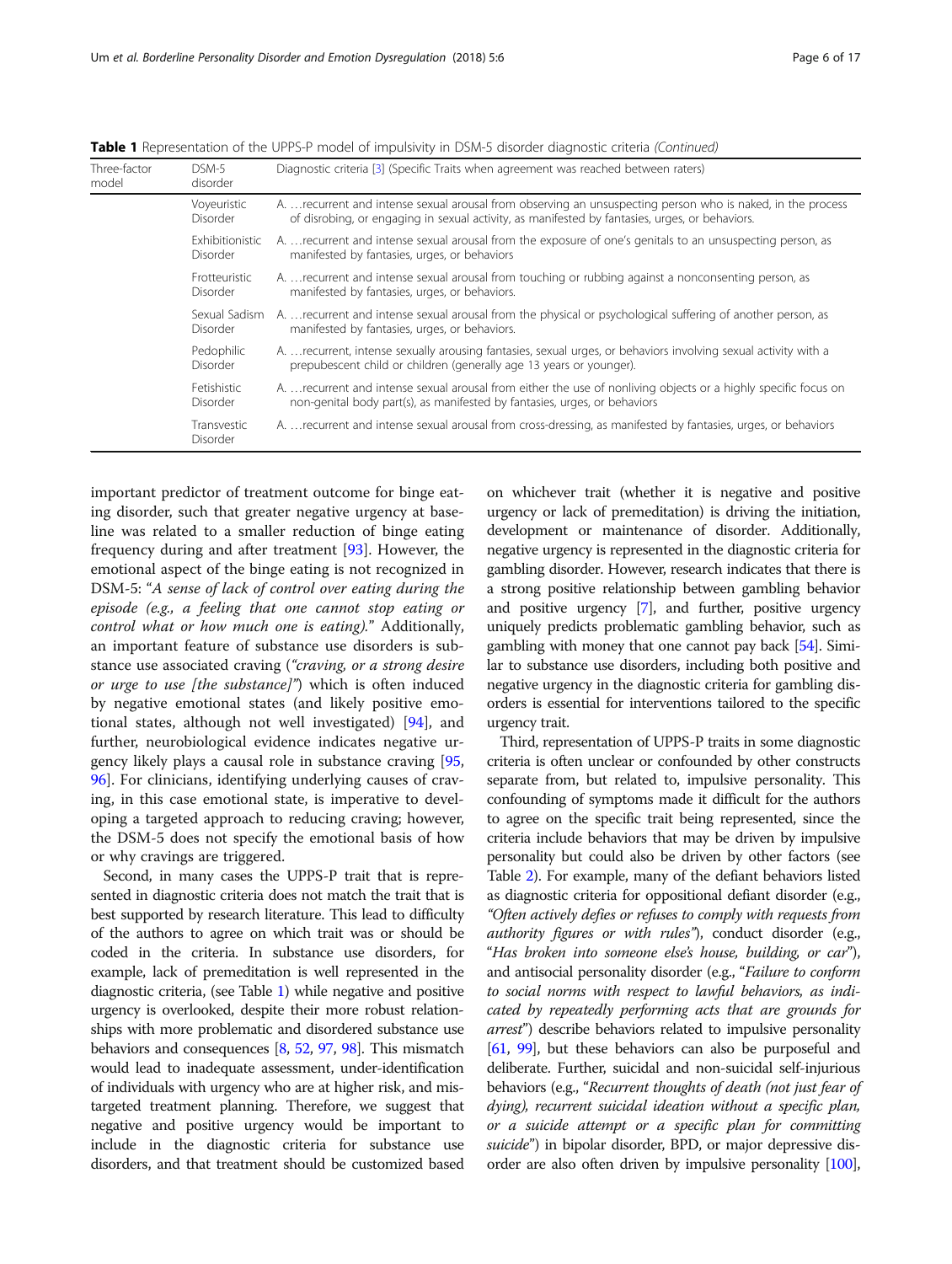| Three-factor<br>model | DSM-5<br>disorder              | Diagnostic criteria [3] (Specific Traits when agreement was reached between raters)                                                                                                                           |  |  |  |  |
|-----------------------|--------------------------------|---------------------------------------------------------------------------------------------------------------------------------------------------------------------------------------------------------------|--|--|--|--|
|                       | Voyeuristic<br><b>Disorder</b> | A.  recurrent and intense sexual arousal from observing an unsuspecting person who is naked, in the process<br>of disrobing, or engaging in sexual activity, as manifested by fantasies, urges, or behaviors. |  |  |  |  |
|                       | Exhibitionistic<br>Disorder    | A.  recurrent and intense sexual arousal from the exposure of one's genitals to an unsuspecting person, as<br>manifested by fantasies, urges, or behaviors                                                    |  |  |  |  |
|                       | Frotteuristic<br>Disorder      | A.  recurrent and intense sexual arousal from touching or rubbing against a nonconsenting person, as<br>manifested by fantasies, urges, or behaviors.                                                         |  |  |  |  |
|                       | Disorder                       | Sexual Sadism A.  recurrent and intense sexual arousal from the physical or psychological suffering of another person, as<br>manifested by fantasies, urges, or behaviors.                                    |  |  |  |  |
|                       | Pedophilic<br>Disorder         | A.  recurrent, intense sexually arousing fantasies, sexual urges, or behaviors involving sexual activity with a<br>prepubescent child or children (generally age 13 years or younger).                        |  |  |  |  |
|                       | Fetishistic<br>Disorder        | A.  recurrent and intense sexual arousal from either the use of nonliving objects or a highly specific focus on<br>non-genital body part(s), as manifested by fantasies, urges, or behaviors                  |  |  |  |  |
|                       | Transvestic<br>Disorder        | A.  recurrent and intense sexual arousal from cross-dressing, as manifested by fantasies, urges, or behaviors                                                                                                 |  |  |  |  |

Table 1 Representation of the UPPS-P model of impulsivity in DSM-5 disorder diagnostic criteria (Continued)

important predictor of treatment outcome for binge eating disorder, such that greater negative urgency at baseline was related to a smaller reduction of binge eating frequency during and after treatment [[93](#page-15-0)]. However, the emotional aspect of the binge eating is not recognized in DSM-5: "A sense of lack of control over eating during the episode (e.g., a feeling that one cannot stop eating or control what or how much one is eating)." Additionally, an important feature of substance use disorders is substance use associated craving ("craving, or a strong desire or urge to use [the substance]") which is often induced by negative emotional states (and likely positive emotional states, although not well investigated) [\[94](#page-15-0)], and further, neurobiological evidence indicates negative urgency likely plays a causal role in substance craving [[95](#page-15-0), [96\]](#page-15-0). For clinicians, identifying underlying causes of craving, in this case emotional state, is imperative to developing a targeted approach to reducing craving; however, the DSM-5 does not specify the emotional basis of how or why cravings are triggered.

Second, in many cases the UPPS-P trait that is represented in diagnostic criteria does not match the trait that is best supported by research literature. This lead to difficulty of the authors to agree on which trait was or should be coded in the criteria. In substance use disorders, for example, lack of premeditation is well represented in the diagnostic criteria, (see Table [1](#page-4-0)) while negative and positive urgency is overlooked, despite their more robust relationships with more problematic and disordered substance use behaviors and consequences [[8](#page-13-0), [52,](#page-14-0) [97,](#page-15-0) [98](#page-15-0)]. This mismatch would lead to inadequate assessment, under-identification of individuals with urgency who are at higher risk, and mistargeted treatment planning. Therefore, we suggest that negative and positive urgency would be important to include in the diagnostic criteria for substance use disorders, and that treatment should be customized based on whichever trait (whether it is negative and positive urgency or lack of premeditation) is driving the initiation, development or maintenance of disorder. Additionally, negative urgency is represented in the diagnostic criteria for gambling disorder. However, research indicates that there is a strong positive relationship between gambling behavior and positive urgency [\[7\]](#page-13-0), and further, positive urgency uniquely predicts problematic gambling behavior, such as gambling with money that one cannot pay back [\[54](#page-14-0)]. Similar to substance use disorders, including both positive and negative urgency in the diagnostic criteria for gambling disorders is essential for interventions tailored to the specific urgency trait.

Third, representation of UPPS-P traits in some diagnostic criteria is often unclear or confounded by other constructs separate from, but related to, impulsive personality. This confounding of symptoms made it difficult for the authors to agree on the specific trait being represented, since the criteria include behaviors that may be driven by impulsive personality but could also be driven by other factors (see Table [2\)](#page-6-0). For example, many of the defiant behaviors listed as diagnostic criteria for oppositional defiant disorder (e.g., "Often actively defies or refuses to comply with requests from authority figures or with rules"), conduct disorder (e.g., "Has broken into someone else's house, building, or car"), and antisocial personality disorder (e.g., "Failure to conform to social norms with respect to lawful behaviors, as indicated by repeatedly performing acts that are grounds for arrest") describe behaviors related to impulsive personality [[61](#page-14-0), [99](#page-15-0)], but these behaviors can also be purposeful and deliberate. Further, suicidal and non-suicidal self-injurious behaviors (e.g., "Recurrent thoughts of death (not just fear of dying), recurrent suicidal ideation without a specific plan, or a suicide attempt or a specific plan for committing suicide") in bipolar disorder, BPD, or major depressive disorder are also often driven by impulsive personality [\[100](#page-15-0)],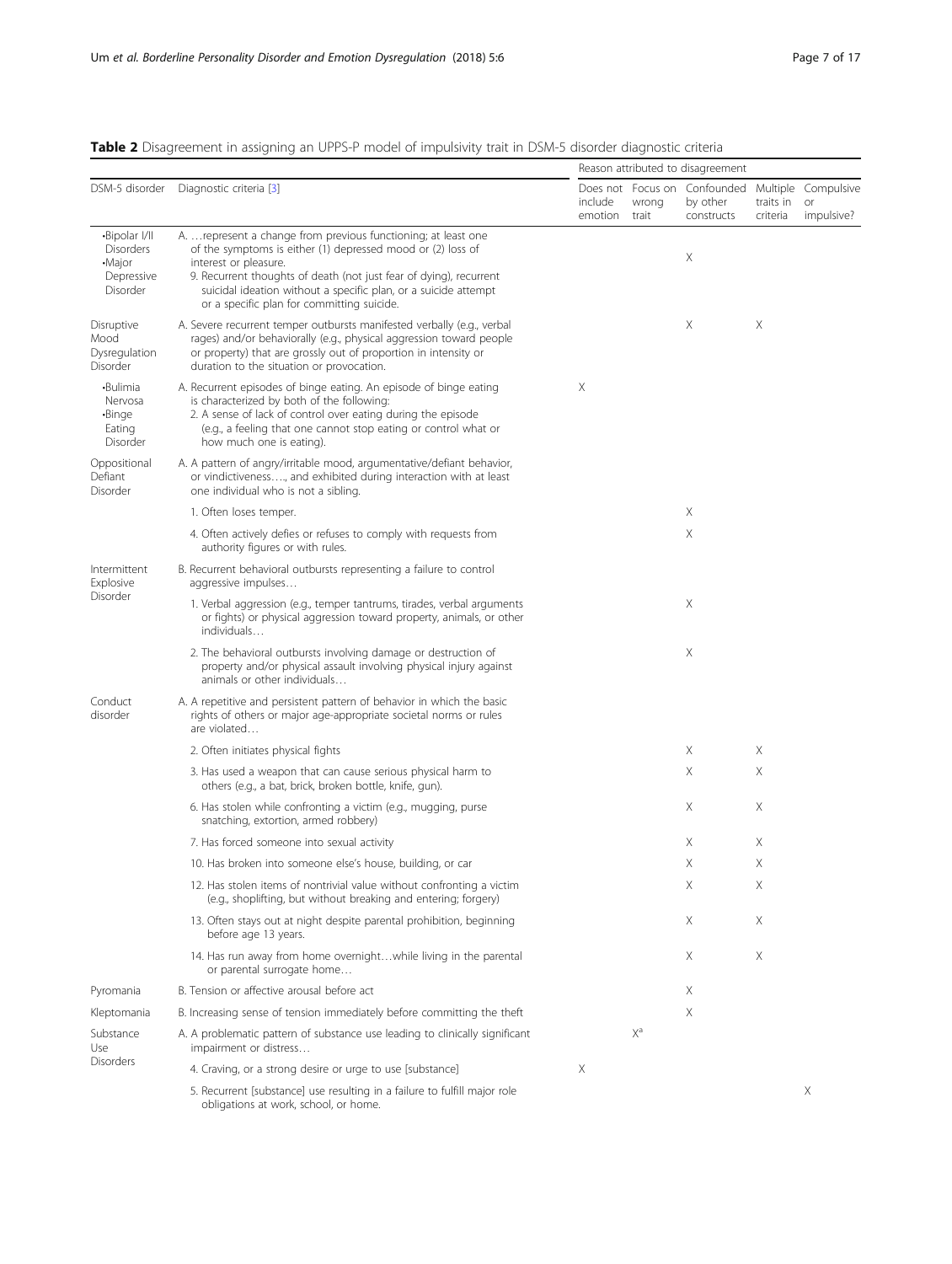|                                                                       |                                                                                                                                                                                                                                                                                                                                               | Reason attributed to disagreement |                |                                                        |                       |                                         |  |
|-----------------------------------------------------------------------|-----------------------------------------------------------------------------------------------------------------------------------------------------------------------------------------------------------------------------------------------------------------------------------------------------------------------------------------------|-----------------------------------|----------------|--------------------------------------------------------|-----------------------|-----------------------------------------|--|
| DSM-5 disorder                                                        | Diagnostic criteria [3]                                                                                                                                                                                                                                                                                                                       | include<br>emotion                | wrong<br>trait | Does not Focus on Confounded<br>by other<br>constructs | traits in<br>criteria | Multiple Compulsive<br>or<br>impulsive? |  |
| -Bipolar I/II<br><b>Disorders</b><br>•Major<br>Depressive<br>Disorder | A.  represent a change from previous functioning; at least one<br>of the symptoms is either (1) depressed mood or (2) loss of<br>interest or pleasure.<br>9. Recurrent thoughts of death (not just fear of dying), recurrent<br>suicidal ideation without a specific plan, or a suicide attempt<br>or a specific plan for committing suicide. |                                   |                | Χ                                                      |                       |                                         |  |
| Disruptive<br>Mood<br>Dysregulation<br>Disorder                       | A. Severe recurrent temper outbursts manifested verbally (e.g., verbal<br>rages) and/or behaviorally (e.g., physical aggression toward people<br>or property) that are grossly out of proportion in intensity or<br>duration to the situation or provocation.                                                                                 |                                   |                | Χ                                                      | Χ                     |                                         |  |
| <b>-</b> Bulimia<br>Nervosa<br>•Binge<br>Eating<br>Disorder           | A. Recurrent episodes of binge eating. An episode of binge eating<br>is characterized by both of the following:<br>2. A sense of lack of control over eating during the episode<br>(e.g., a feeling that one cannot stop eating or control what or<br>how much one is eating).                                                                | X                                 |                |                                                        |                       |                                         |  |
| Oppositional<br>Defiant<br>Disorder                                   | A. A pattern of angry/irritable mood, argumentative/defiant behavior,<br>or vindictiveness, and exhibited during interaction with at least<br>one individual who is not a sibling.                                                                                                                                                            |                                   |                |                                                        |                       |                                         |  |
|                                                                       | 1. Often loses temper.                                                                                                                                                                                                                                                                                                                        |                                   |                | Χ                                                      |                       |                                         |  |
|                                                                       | 4. Often actively defies or refuses to comply with requests from<br>authority figures or with rules.                                                                                                                                                                                                                                          |                                   |                | Χ                                                      |                       |                                         |  |
| Intermittent<br>Explosive                                             | B. Recurrent behavioral outbursts representing a failure to control<br>aggressive impulses                                                                                                                                                                                                                                                    |                                   |                |                                                        |                       |                                         |  |
| Disorder                                                              | 1. Verbal aggression (e.g., temper tantrums, tirades, verbal arguments<br>or fights) or physical aggression toward property, animals, or other<br>individuals                                                                                                                                                                                 |                                   |                | Χ                                                      |                       |                                         |  |
|                                                                       | 2. The behavioral outbursts involving damage or destruction of<br>property and/or physical assault involving physical injury against<br>animals or other individuals                                                                                                                                                                          |                                   |                | Χ                                                      |                       |                                         |  |
| Conduct<br>disorder                                                   | A. A repetitive and persistent pattern of behavior in which the basic<br>rights of others or major age-appropriate societal norms or rules<br>are violated                                                                                                                                                                                    |                                   |                |                                                        |                       |                                         |  |
|                                                                       | 2. Often initiates physical fights                                                                                                                                                                                                                                                                                                            |                                   |                | Χ                                                      | Χ                     |                                         |  |
|                                                                       | 3. Has used a weapon that can cause serious physical harm to<br>others (e.g., a bat, brick, broken bottle, knife, gun).                                                                                                                                                                                                                       |                                   |                | Χ                                                      | Χ                     |                                         |  |
|                                                                       | 6. Has stolen while confronting a victim (e.g., mugging, purse<br>snatching, extortion, armed robbery)                                                                                                                                                                                                                                        |                                   |                | Χ                                                      | Χ                     |                                         |  |
|                                                                       | 7. Has forced someone into sexual activity                                                                                                                                                                                                                                                                                                    |                                   |                | Χ                                                      | Χ                     |                                         |  |
|                                                                       | 10. Has broken into someone else's house, building, or car                                                                                                                                                                                                                                                                                    |                                   |                | Χ                                                      | Χ                     |                                         |  |
|                                                                       | 12. Has stolen items of nontrivial value without confronting a victim<br>(e.g., shoplifting, but without breaking and entering; forgery)                                                                                                                                                                                                      |                                   |                | Χ                                                      | Χ                     |                                         |  |
|                                                                       | 13. Often stays out at night despite parental prohibition, beginning<br>before age 13 years.                                                                                                                                                                                                                                                  |                                   |                | Χ                                                      | Χ                     |                                         |  |
|                                                                       | 14. Has run away from home overnightwhile living in the parental<br>or parental surrogate home                                                                                                                                                                                                                                                |                                   |                | Χ                                                      | Χ                     |                                         |  |
| Pyromania                                                             | B. Tension or affective arousal before act                                                                                                                                                                                                                                                                                                    |                                   |                | Χ                                                      |                       |                                         |  |
| Kleptomania                                                           | B. Increasing sense of tension immediately before committing the theft                                                                                                                                                                                                                                                                        |                                   |                | Χ                                                      |                       |                                         |  |
| Substance<br>Use                                                      | A. A problematic pattern of substance use leading to clinically significant<br>impairment or distress                                                                                                                                                                                                                                         |                                   | $X^a$          |                                                        |                       |                                         |  |
| <b>Disorders</b>                                                      | 4. Craving, or a strong desire or urge to use [substance]                                                                                                                                                                                                                                                                                     | Χ                                 |                |                                                        |                       |                                         |  |
|                                                                       | 5. Recurrent [substance] use resulting in a failure to fulfill major role<br>obligations at work, school, or home.                                                                                                                                                                                                                            |                                   |                |                                                        |                       | Χ                                       |  |

## <span id="page-6-0"></span>Table 2 Disagreement in assigning an UPPS-P model of impulsivity trait in DSM-5 disorder diagnostic criteria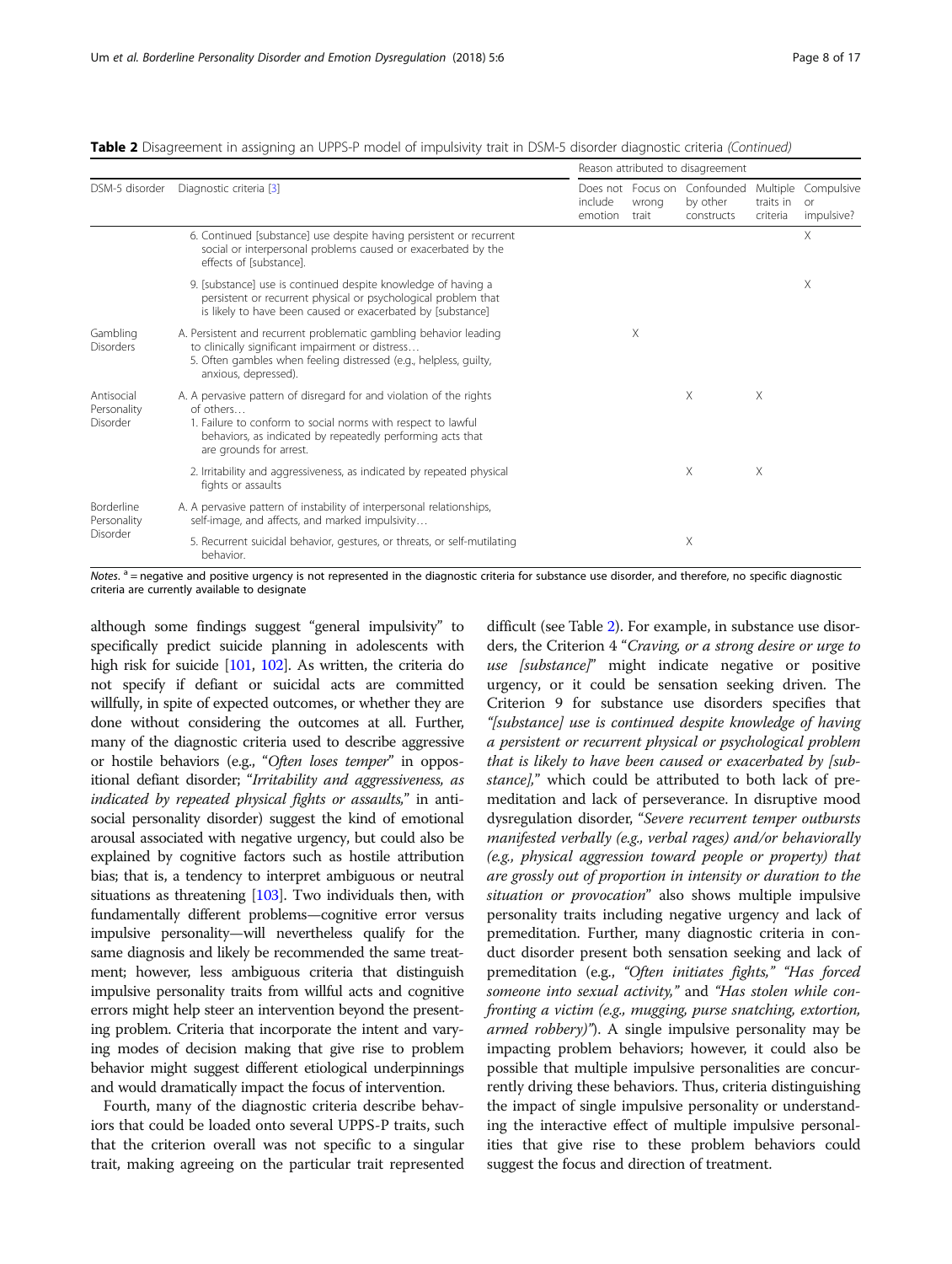|                                       |                                                                                                                                                                                                                                           | Reason attributed to disagreement |                |                                               |                       |                                               |
|---------------------------------------|-------------------------------------------------------------------------------------------------------------------------------------------------------------------------------------------------------------------------------------------|-----------------------------------|----------------|-----------------------------------------------|-----------------------|-----------------------------------------------|
| DSM-5 disorder                        | Diagnostic criteria [3]                                                                                                                                                                                                                   | Does not<br>include<br>emotion    | wrong<br>trait | Focus on Confounded<br>by other<br>constructs | traits in<br>criteria | Multiple Compulsive<br>$\cap$ r<br>impulsive? |
|                                       | 6. Continued [substance] use despite having persistent or recurrent<br>social or interpersonal problems caused or exacerbated by the<br>effects of [substance].                                                                           |                                   |                |                                               |                       | X                                             |
|                                       | 9. [substance] use is continued despite knowledge of having a<br>persistent or recurrent physical or psychological problem that<br>is likely to have been caused or exacerbated by [substance]                                            |                                   |                |                                               |                       | Χ                                             |
| Gambling<br><b>Disorders</b>          | A. Persistent and recurrent problematic gambling behavior leading<br>to clinically significant impairment or distress<br>5. Often gambles when feeling distressed (e.g., helpless, guilty,<br>anxious, depressed).                        |                                   | X              |                                               |                       |                                               |
| Antisocial<br>Personality<br>Disorder | A. A pervasive pattern of disregard for and violation of the rights<br>of others<br>1. Failure to conform to social norms with respect to lawful<br>behaviors, as indicated by repeatedly performing acts that<br>are grounds for arrest. |                                   |                | X                                             | X                     |                                               |
|                                       | 2. Irritability and aggressiveness, as indicated by repeated physical<br>fights or assaults                                                                                                                                               |                                   |                | X                                             | X                     |                                               |
| Borderline<br>Personality<br>Disorder | A. A pervasive pattern of instability of interpersonal relationships,<br>self-image, and affects, and marked impulsivity                                                                                                                  |                                   |                |                                               |                       |                                               |
|                                       | 5. Recurrent suicidal behavior, gestures, or threats, or self-mutilating<br>behavior.                                                                                                                                                     |                                   |                | X                                             |                       |                                               |

#### Table 2 Disagreement in assigning an UPPS-P model of impulsivity trait in DSM-5 disorder diagnostic criteria (Continued)

Notes. <sup>a</sup> = negative and positive urgency is not represented in the diagnostic criteria for substance use disorder, and therefore, no specific diagnostic criteria are currently available to designate

although some findings suggest "general impulsivity" to specifically predict suicide planning in adolescents with high risk for suicide [\[101,](#page-15-0) [102](#page-15-0)]. As written, the criteria do not specify if defiant or suicidal acts are committed willfully, in spite of expected outcomes, or whether they are done without considering the outcomes at all. Further, many of the diagnostic criteria used to describe aggressive or hostile behaviors (e.g., "Often loses temper" in oppositional defiant disorder; "Irritability and aggressiveness, as indicated by repeated physical fights or assaults," in antisocial personality disorder) suggest the kind of emotional arousal associated with negative urgency, but could also be explained by cognitive factors such as hostile attribution bias; that is, a tendency to interpret ambiguous or neutral situations as threatening [\[103](#page-15-0)]. Two individuals then, with fundamentally different problems—cognitive error versus impulsive personality—will nevertheless qualify for the same diagnosis and likely be recommended the same treatment; however, less ambiguous criteria that distinguish impulsive personality traits from willful acts and cognitive errors might help steer an intervention beyond the presenting problem. Criteria that incorporate the intent and varying modes of decision making that give rise to problem behavior might suggest different etiological underpinnings and would dramatically impact the focus of intervention.

Fourth, many of the diagnostic criteria describe behaviors that could be loaded onto several UPPS-P traits, such that the criterion overall was not specific to a singular trait, making agreeing on the particular trait represented

difficult (see Table [2\)](#page-6-0). For example, in substance use disorders, the Criterion 4 "Craving, or a strong desire or urge to use [substance]" might indicate negative or positive urgency, or it could be sensation seeking driven. The Criterion 9 for substance use disorders specifies that "[substance] use is continued despite knowledge of having a persistent or recurrent physical or psychological problem that is likely to have been caused or exacerbated by [substance]," which could be attributed to both lack of premeditation and lack of perseverance. In disruptive mood dysregulation disorder, "Severe recurrent temper outbursts manifested verbally (e.g., verbal rages) and/or behaviorally (e.g., physical aggression toward people or property) that are grossly out of proportion in intensity or duration to the situation or provocation" also shows multiple impulsive personality traits including negative urgency and lack of premeditation. Further, many diagnostic criteria in conduct disorder present both sensation seeking and lack of premeditation (e.g., "Often initiates fights," "Has forced someone into sexual activity," and "Has stolen while confronting a victim (e.g., mugging, purse snatching, extortion, armed robbery)"). A single impulsive personality may be impacting problem behaviors; however, it could also be possible that multiple impulsive personalities are concurrently driving these behaviors. Thus, criteria distinguishing the impact of single impulsive personality or understanding the interactive effect of multiple impulsive personalities that give rise to these problem behaviors could suggest the focus and direction of treatment.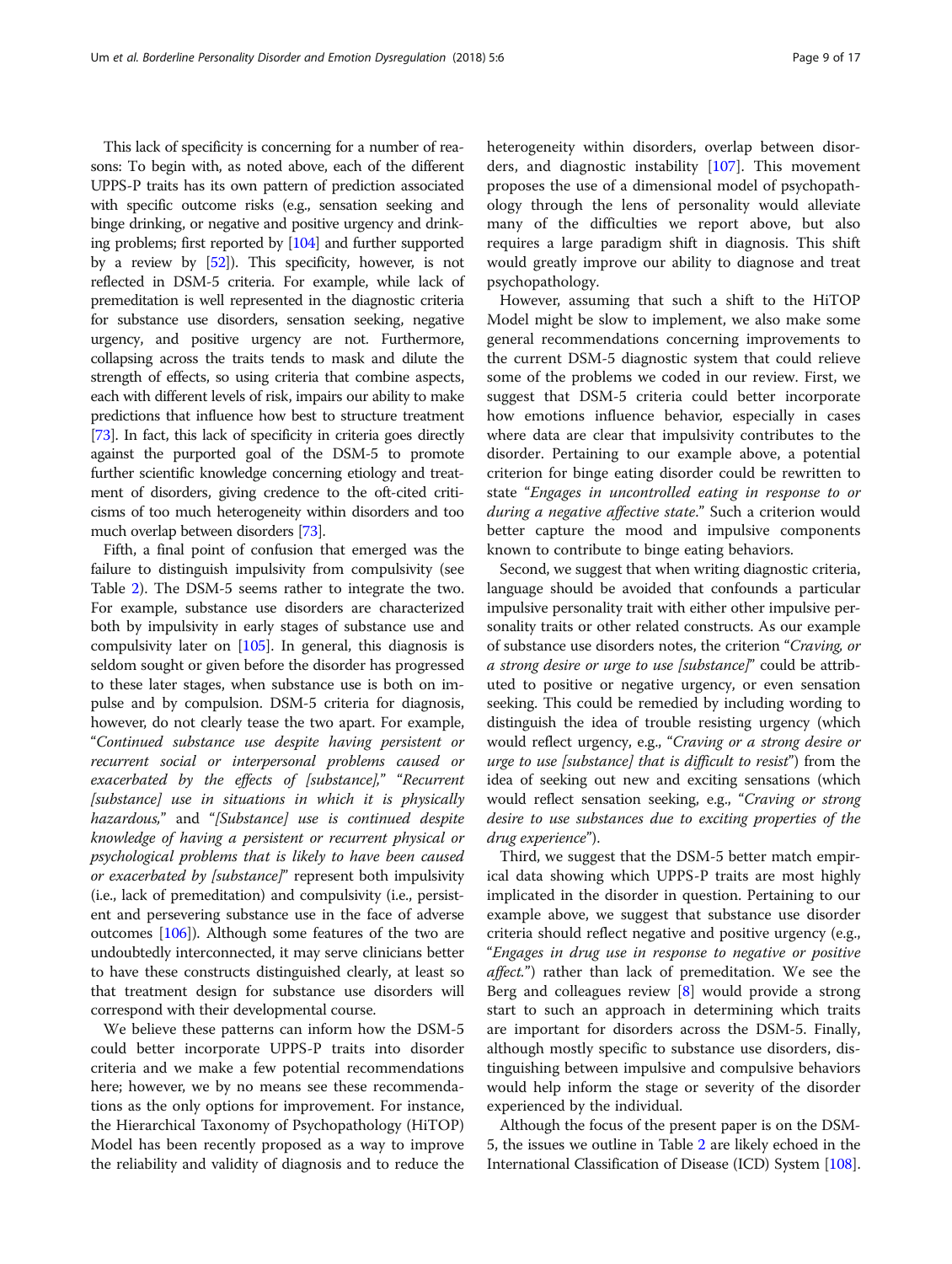This lack of specificity is concerning for a number of reasons: To begin with, as noted above, each of the different UPPS-P traits has its own pattern of prediction associated with specific outcome risks (e.g., sensation seeking and binge drinking, or negative and positive urgency and drinking problems; first reported by [\[104](#page-15-0)] and further supported by a review by [[52](#page-14-0)]). This specificity, however, is not reflected in DSM-5 criteria. For example, while lack of premeditation is well represented in the diagnostic criteria for substance use disorders, sensation seeking, negative urgency, and positive urgency are not. Furthermore, collapsing across the traits tends to mask and dilute the strength of effects, so using criteria that combine aspects, each with different levels of risk, impairs our ability to make predictions that influence how best to structure treatment [[73](#page-14-0)]. In fact, this lack of specificity in criteria goes directly against the purported goal of the DSM-5 to promote further scientific knowledge concerning etiology and treatment of disorders, giving credence to the oft-cited criticisms of too much heterogeneity within disorders and too much overlap between disorders [\[73\]](#page-14-0).

Fifth, a final point of confusion that emerged was the failure to distinguish impulsivity from compulsivity (see Table [2](#page-6-0)). The DSM-5 seems rather to integrate the two. For example, substance use disorders are characterized both by impulsivity in early stages of substance use and compulsivity later on [[105](#page-15-0)]. In general, this diagnosis is seldom sought or given before the disorder has progressed to these later stages, when substance use is both on impulse and by compulsion. DSM-5 criteria for diagnosis, however, do not clearly tease the two apart. For example, "Continued substance use despite having persistent or recurrent social or interpersonal problems caused or exacerbated by the effects of [substance]," "Recurrent [substance] use in situations in which it is physically hazardous," and "[Substance] use is continued despite knowledge of having a persistent or recurrent physical or psychological problems that is likely to have been caused or exacerbated by [substance]" represent both impulsivity (i.e., lack of premeditation) and compulsivity (i.e., persistent and persevering substance use in the face of adverse outcomes [[106\]](#page-15-0)). Although some features of the two are undoubtedly interconnected, it may serve clinicians better to have these constructs distinguished clearly, at least so that treatment design for substance use disorders will correspond with their developmental course.

We believe these patterns can inform how the DSM-5 could better incorporate UPPS-P traits into disorder criteria and we make a few potential recommendations here; however, we by no means see these recommendations as the only options for improvement. For instance, the Hierarchical Taxonomy of Psychopathology (HiTOP) Model has been recently proposed as a way to improve the reliability and validity of diagnosis and to reduce the heterogeneity within disorders, overlap between disorders, and diagnostic instability [[107\]](#page-15-0). This movement proposes the use of a dimensional model of psychopathology through the lens of personality would alleviate many of the difficulties we report above, but also requires a large paradigm shift in diagnosis. This shift would greatly improve our ability to diagnose and treat psychopathology.

However, assuming that such a shift to the HiTOP Model might be slow to implement, we also make some general recommendations concerning improvements to the current DSM-5 diagnostic system that could relieve some of the problems we coded in our review. First, we suggest that DSM-5 criteria could better incorporate how emotions influence behavior, especially in cases where data are clear that impulsivity contributes to the disorder. Pertaining to our example above, a potential criterion for binge eating disorder could be rewritten to state "Engages in uncontrolled eating in response to or during a negative affective state." Such a criterion would better capture the mood and impulsive components known to contribute to binge eating behaviors.

Second, we suggest that when writing diagnostic criteria, language should be avoided that confounds a particular impulsive personality trait with either other impulsive personality traits or other related constructs. As our example of substance use disorders notes, the criterion "Craving, or a strong desire or urge to use [substance]" could be attributed to positive or negative urgency, or even sensation seeking. This could be remedied by including wording to distinguish the idea of trouble resisting urgency (which would reflect urgency, e.g., "Craving or a strong desire or urge to use [substance] that is difficult to resist") from the idea of seeking out new and exciting sensations (which would reflect sensation seeking, e.g., "Craving or strong desire to use substances due to exciting properties of the drug experience").

Third, we suggest that the DSM-5 better match empirical data showing which UPPS-P traits are most highly implicated in the disorder in question. Pertaining to our example above, we suggest that substance use disorder criteria should reflect negative and positive urgency (e.g., "Engages in drug use in response to negative or positive affect.") rather than lack of premeditation. We see the Berg and colleagues review [[8\]](#page-13-0) would provide a strong start to such an approach in determining which traits are important for disorders across the DSM-5. Finally, although mostly specific to substance use disorders, distinguishing between impulsive and compulsive behaviors would help inform the stage or severity of the disorder experienced by the individual.

Although the focus of the present paper is on the DSM-5, the issues we outline in Table [2](#page-6-0) are likely echoed in the International Classification of Disease (ICD) System [[108](#page-15-0)].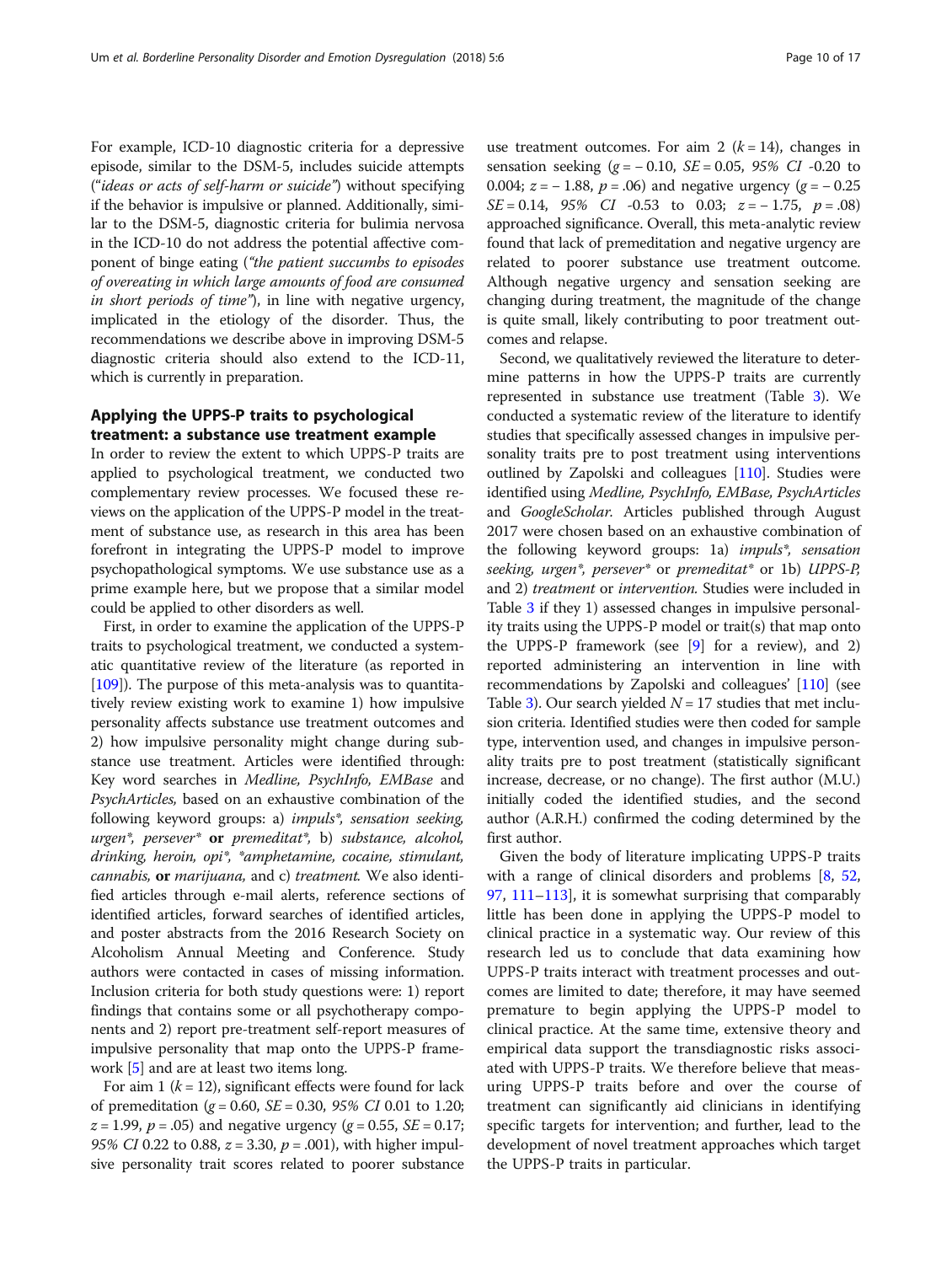For example, ICD-10 diagnostic criteria for a depressive episode, similar to the DSM-5, includes suicide attempts ("ideas or acts of self-harm or suicide") without specifying if the behavior is impulsive or planned. Additionally, similar to the DSM-5, diagnostic criteria for bulimia nervosa in the ICD-10 do not address the potential affective component of binge eating ("the patient succumbs to episodes of overeating in which large amounts of food are consumed in short periods of time"), in line with negative urgency, implicated in the etiology of the disorder. Thus, the recommendations we describe above in improving DSM-5 diagnostic criteria should also extend to the ICD-11, which is currently in preparation.

## Applying the UPPS-P traits to psychological treatment: a substance use treatment example

In order to review the extent to which UPPS-P traits are applied to psychological treatment, we conducted two complementary review processes. We focused these reviews on the application of the UPPS-P model in the treatment of substance use, as research in this area has been forefront in integrating the UPPS-P model to improve psychopathological symptoms. We use substance use as a prime example here, but we propose that a similar model could be applied to other disorders as well.

First, in order to examine the application of the UPPS-P traits to psychological treatment, we conducted a systematic quantitative review of the literature (as reported in [[109](#page-15-0)]). The purpose of this meta-analysis was to quantitatively review existing work to examine 1) how impulsive personality affects substance use treatment outcomes and 2) how impulsive personality might change during substance use treatment. Articles were identified through: Key word searches in Medline, PsychInfo, EMBase and PsychArticles, based on an exhaustive combination of the following keyword groups: a) impuls\*, sensation seeking, urgen\*, persever\* or premeditat\*, b) substance, alcohol, drinking, heroin, opi\*, \*amphetamine, cocaine, stimulant, cannabis, or marijuana, and c) treatment. We also identified articles through e-mail alerts, reference sections of identified articles, forward searches of identified articles, and poster abstracts from the 2016 Research Society on Alcoholism Annual Meeting and Conference. Study authors were contacted in cases of missing information. Inclusion criteria for both study questions were: 1) report findings that contains some or all psychotherapy components and 2) report pre-treatment self-report measures of impulsive personality that map onto the UPPS-P framework [[5](#page-13-0)] and are at least two items long.

For aim 1 ( $k = 12$ ), significant effects were found for lack of premeditation ( $g = 0.60$ ,  $SE = 0.30$ ,  $95\%$  CI 0.01 to 1.20;  $z = 1.99$ ,  $p = .05$ ) and negative urgency ( $g = 0.55$ ,  $SE = 0.17$ ; 95% CI 0.22 to 0.88,  $z = 3.30$ ,  $p = .001$ ), with higher impulsive personality trait scores related to poorer substance

use treatment outcomes. For aim 2  $(k = 14)$ , changes in sensation seeking  $(g = -0.10, SE = 0.05, 95\% CI -0.20$  to 0.004;  $z = -1.88$ ,  $p = .06$ ) and negative urgency ( $g = -0.25$  $SE = 0.14$ , 95% CI -0.53 to 0.03;  $z = -1.75$ ,  $p = .08$ ) approached significance. Overall, this meta-analytic review found that lack of premeditation and negative urgency are related to poorer substance use treatment outcome. Although negative urgency and sensation seeking are changing during treatment, the magnitude of the change is quite small, likely contributing to poor treatment outcomes and relapse.

Second, we qualitatively reviewed the literature to determine patterns in how the UPPS-P traits are currently represented in substance use treatment (Table [3\)](#page-10-0). We conducted a systematic review of the literature to identify studies that specifically assessed changes in impulsive personality traits pre to post treatment using interventions outlined by Zapolski and colleagues [\[110\]](#page-15-0). Studies were identified using Medline, PsychInfo, EMBase, PsychArticles and GoogleScholar. Articles published through August 2017 were chosen based on an exhaustive combination of the following keyword groups: 1a) impuls\*, sensation seeking, urgen\*, persever\* or premeditat\* or 1b) UPPS-P, and 2) treatment or intervention. Studies were included in Table [3](#page-10-0) if they 1) assessed changes in impulsive personality traits using the UPPS-P model or trait(s) that map onto the UPPS-P framework (see [\[9](#page-13-0)] for a review), and 2) reported administering an intervention in line with recommendations by Zapolski and colleagues' [\[110\]](#page-15-0) (see Table [3\)](#page-10-0). Our search yielded  $N = 17$  studies that met inclusion criteria. Identified studies were then coded for sample type, intervention used, and changes in impulsive personality traits pre to post treatment (statistically significant increase, decrease, or no change). The first author (M.U.) initially coded the identified studies, and the second author (A.R.H.) confirmed the coding determined by the first author.

Given the body of literature implicating UPPS-P traits with a range of clinical disorders and problems [\[8](#page-13-0), [52](#page-14-0), [97,](#page-15-0) [111](#page-15-0)–[113](#page-15-0)], it is somewhat surprising that comparably little has been done in applying the UPPS-P model to clinical practice in a systematic way. Our review of this research led us to conclude that data examining how UPPS-P traits interact with treatment processes and outcomes are limited to date; therefore, it may have seemed premature to begin applying the UPPS-P model to clinical practice. At the same time, extensive theory and empirical data support the transdiagnostic risks associated with UPPS-P traits. We therefore believe that measuring UPPS-P traits before and over the course of treatment can significantly aid clinicians in identifying specific targets for intervention; and further, lead to the development of novel treatment approaches which target the UPPS-P traits in particular.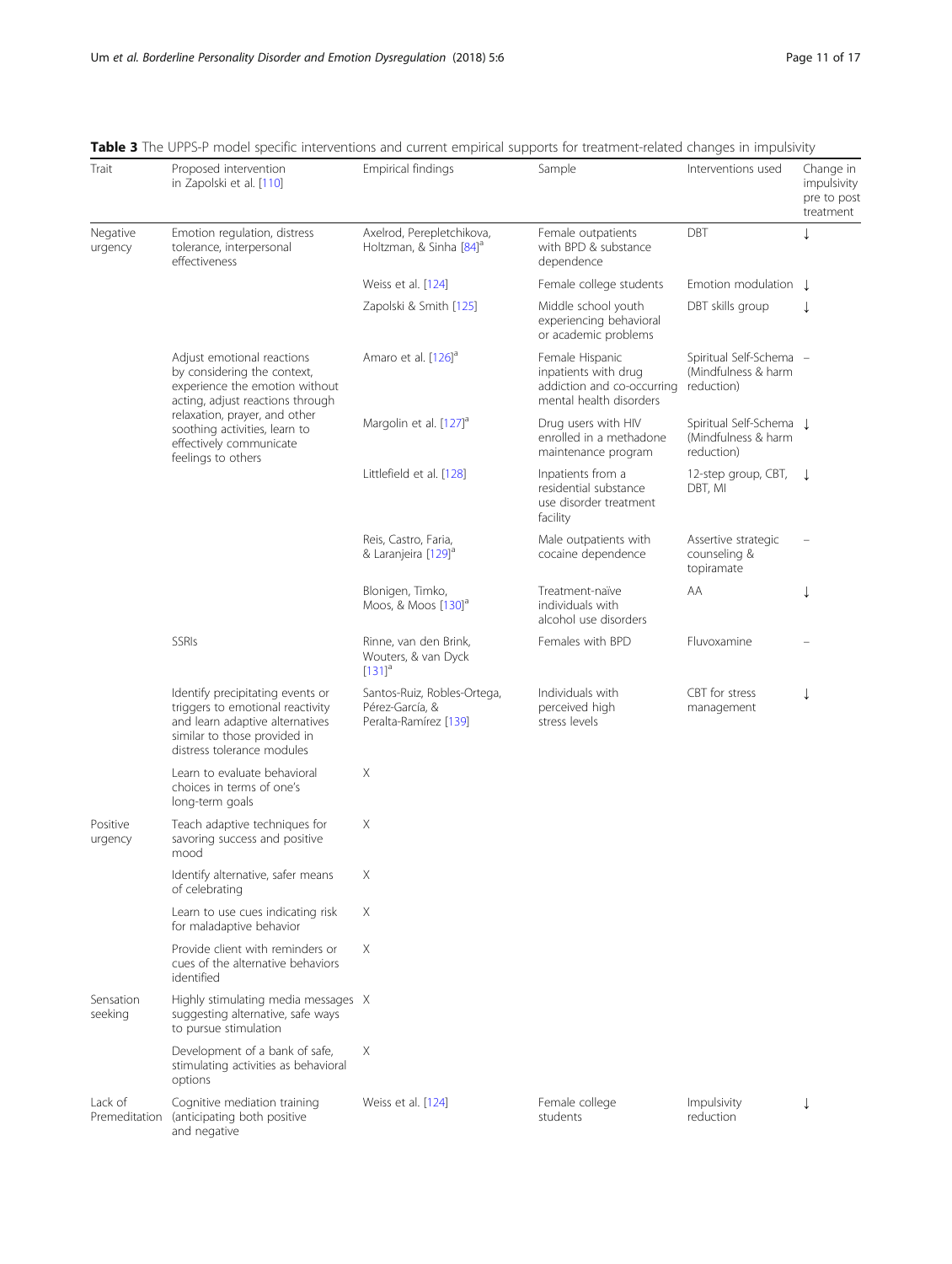| Trait                    | Proposed intervention<br>in Zapolski et al. [110]                                                                                                                     | Empirical findings                                                      | Sample                                                                                           | Interventions used                                           | Change in<br>impulsivity<br>pre to post<br>treatment |
|--------------------------|-----------------------------------------------------------------------------------------------------------------------------------------------------------------------|-------------------------------------------------------------------------|--------------------------------------------------------------------------------------------------|--------------------------------------------------------------|------------------------------------------------------|
| Negative<br>urgency      | Emotion regulation, distress<br>tolerance, interpersonal<br>effectiveness                                                                                             | Axelrod, Perepletchikova,<br>Holtzman, & Sinha [84] <sup>a</sup>        | Female outpatients<br>with BPD & substance<br>dependence                                         | DBT                                                          | ↓                                                    |
|                          |                                                                                                                                                                       | Weiss et al. [124]                                                      | Female college students                                                                          | Emotion modulation $\downarrow$                              |                                                      |
|                          |                                                                                                                                                                       | Zapolski & Smith [125]                                                  | Middle school youth<br>experiencing behavioral<br>or academic problems                           | DBT skills group                                             | T                                                    |
|                          | Adjust emotional reactions<br>by considering the context,<br>experience the emotion without<br>acting, adjust reactions through                                       | Amaro et al. [126] <sup>a</sup>                                         | Female Hispanic<br>inpatients with drug<br>addiction and co-occurring<br>mental health disorders | Spiritual Self-Schema -<br>(Mindfulness & harm<br>reduction) |                                                      |
|                          | relaxation, prayer, and other<br>soothing activities, learn to<br>effectively communicate<br>feelings to others                                                       | Margolin et al. [127] <sup>a</sup>                                      | Drug users with HIV<br>enrolled in a methadone<br>maintenance program                            | Spiritual Self-Schema J<br>(Mindfulness & harm<br>reduction) |                                                      |
|                          |                                                                                                                                                                       | Littlefield et al. [128]                                                | Inpatients from a<br>residential substance<br>use disorder treatment<br>facility                 | 12-step group, CBT,<br>DBT, MI                               | T                                                    |
|                          |                                                                                                                                                                       | Reis, Castro, Faria,<br>& Laranjeira [129] <sup>a</sup>                 | Male outpatients with<br>Assertive strategic<br>cocaine dependence<br>counseling &<br>topiramate |                                                              |                                                      |
|                          |                                                                                                                                                                       | Blonigen, Timko,<br>Moos, & Moos [130] <sup>a</sup>                     | Treatment-naïve<br>individuals with<br>alcohol use disorders                                     | AA                                                           | ↓                                                    |
|                          | <b>SSRIs</b>                                                                                                                                                          | Rinne, van den Brink,<br>Wouters, & van Dyck<br>$[131]$ <sup>a</sup>    | Females with BPD                                                                                 | Fluvoxamine                                                  |                                                      |
|                          | Identify precipitating events or<br>triggers to emotional reactivity<br>and learn adaptive alternatives<br>similar to those provided in<br>distress tolerance modules | Santos-Ruiz, Robles-Ortega,<br>Pérez-García, &<br>Peralta-Ramírez [139] | Individuals with<br>perceived high<br>stress levels                                              | CBT for stress<br>management                                 | ↓                                                    |
|                          | Learn to evaluate behavioral<br>choices in terms of one's<br>long-term goals                                                                                          | Χ                                                                       |                                                                                                  |                                                              |                                                      |
| Positive<br>urgency      | Teach adaptive techniques for<br>savoring success and positive<br>mood                                                                                                | Χ                                                                       |                                                                                                  |                                                              |                                                      |
|                          | Identify alternative, safer means<br>of celebrating                                                                                                                   | Χ                                                                       |                                                                                                  |                                                              |                                                      |
|                          | Learn to use cues indicating risk<br>for maladaptive behavior                                                                                                         | Χ                                                                       |                                                                                                  |                                                              |                                                      |
|                          | Provide client with reminders or<br>cues of the alternative behaviors<br>identified                                                                                   | Χ                                                                       |                                                                                                  |                                                              |                                                      |
| Sensation<br>seeking     | Highly stimulating media messages X<br>suggesting alternative, safe ways<br>to pursue stimulation                                                                     |                                                                         |                                                                                                  |                                                              |                                                      |
|                          | Development of a bank of safe,<br>stimulating activities as behavioral<br>options                                                                                     | Χ                                                                       |                                                                                                  |                                                              |                                                      |
| Lack of<br>Premeditation | Cognitive mediation training<br>(anticipating both positive<br>and negative                                                                                           | Weiss et al. [124]                                                      | Female college<br>students                                                                       | Impulsivity<br>reduction                                     | ↓                                                    |

## <span id="page-10-0"></span>Table 3 The UPPS-P model specific interventions and current empirical supports for treatment-related changes in impulsivity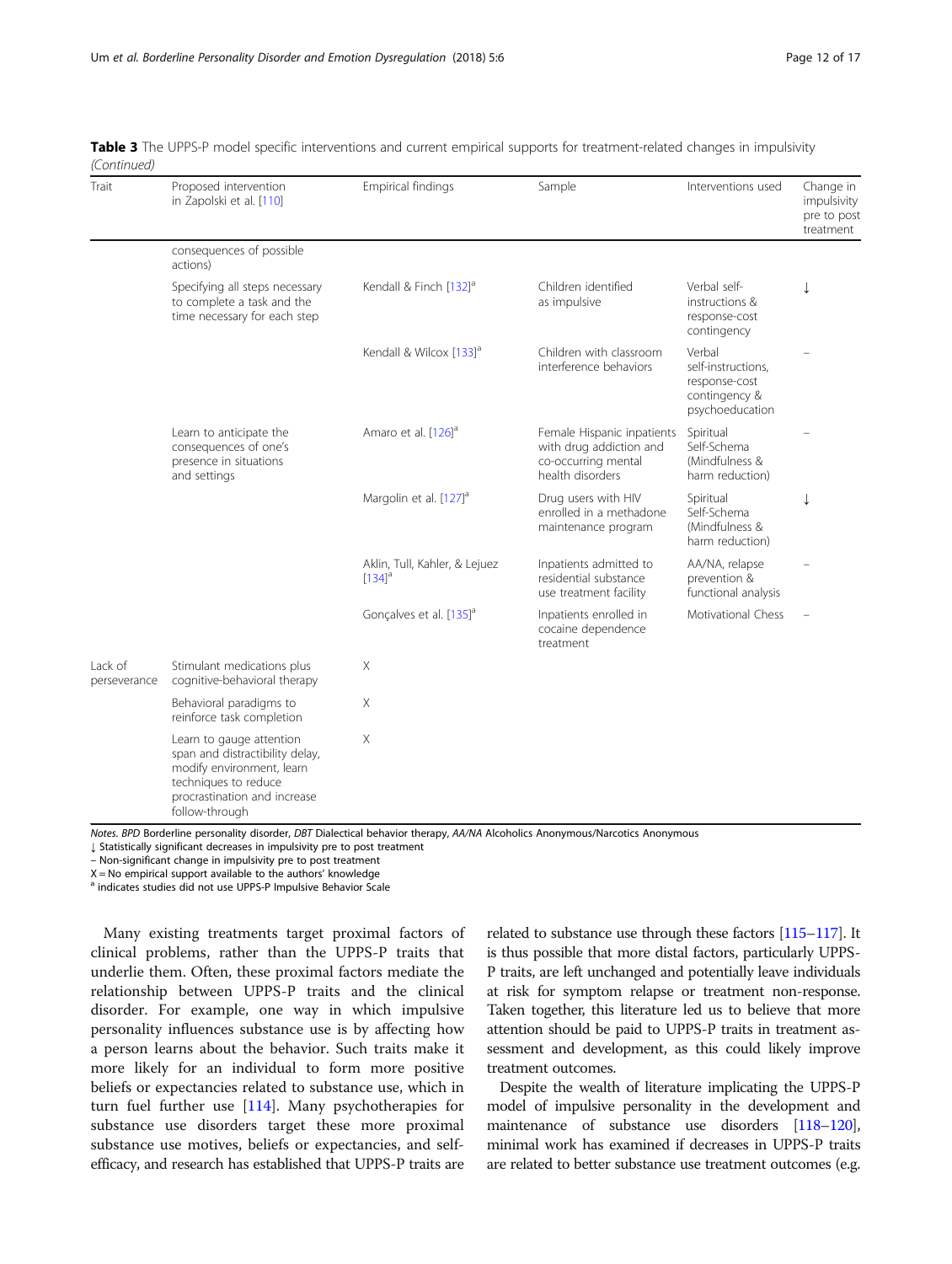| Trait                   | Proposed intervention<br>in Zapolski et al. [110]                                                                                                                  | Empirical findings                                    | Sample                                                                                           | Interventions used                                                                | Change in<br>impulsivity<br>pre to post<br>treatment |
|-------------------------|--------------------------------------------------------------------------------------------------------------------------------------------------------------------|-------------------------------------------------------|--------------------------------------------------------------------------------------------------|-----------------------------------------------------------------------------------|------------------------------------------------------|
|                         | consequences of possible<br>actions)                                                                                                                               |                                                       |                                                                                                  |                                                                                   |                                                      |
|                         | Specifying all steps necessary<br>to complete a task and the<br>time necessary for each step                                                                       | Kendall & Finch [132] <sup>a</sup>                    | Children identified<br>as impulsive                                                              | Verbal self-<br>instructions &<br>response-cost<br>contingency                    | ↓                                                    |
|                         |                                                                                                                                                                    | Kendall & Wilcox [133] <sup>a</sup>                   | Children with classroom<br>interference behaviors                                                | Verbal<br>self-instructions,<br>response-cost<br>contingency &<br>psychoeducation |                                                      |
|                         | Learn to anticipate the<br>consequences of one's<br>presence in situations<br>and settings                                                                         | Amaro et al. [126] <sup>a</sup>                       | Female Hispanic inpatients<br>with drug addiction and<br>co-occurring mental<br>health disorders | Spiritual<br>Self-Schema<br>(Mindfulness &<br>harm reduction)                     |                                                      |
|                         |                                                                                                                                                                    | Margolin et al. [127] <sup>a</sup>                    | Drug users with HIV<br>enrolled in a methadone<br>maintenance program                            | Spiritual<br>Self-Schema<br>(Mindfulness &<br>harm reduction)                     |                                                      |
|                         |                                                                                                                                                                    | Aklin, Tull, Kahler, & Lejuez<br>$[134]$ <sup>a</sup> | Inpatients admitted to<br>residential substance<br>use treatment facility                        | AA/NA, relapse<br>prevention &<br>functional analysis                             |                                                      |
|                         |                                                                                                                                                                    | Gonçalves et al. [135] <sup>a</sup>                   | Inpatients enrolled in<br>cocaine dependence<br>treatment                                        | Motivational Chess                                                                |                                                      |
| Lack of<br>perseverance | Stimulant medications plus<br>cognitive-behavioral therapy                                                                                                         | Χ                                                     |                                                                                                  |                                                                                   |                                                      |
|                         | Behavioral paradigms to<br>reinforce task completion                                                                                                               | $\times$                                              |                                                                                                  |                                                                                   |                                                      |
|                         | Learn to gauge attention<br>span and distractibility delay,<br>modify environment, learn<br>techniques to reduce<br>procrastination and increase<br>follow-through | X                                                     |                                                                                                  |                                                                                   |                                                      |

Table 3 The UPPS-P model specific interventions and current empirical supports for treatment-related changes in impulsivity (Continued)

Notes. BPD Borderline personality disorder, DBT Dialectical behavior therapy, AA/NA Alcoholics Anonymous/Narcotics Anonymous

↓ Statistically significant decreases in impulsivity pre to post treatment

– Non-significant change in impulsivity pre to post treatment

 $X = No$  empirical support available to the authors' knowledge  $a$  indicates studies did not use UPPS-P Impulsive Behavior Scale

Many existing treatments target proximal factors of clinical problems, rather than the UPPS-P traits that underlie them. Often, these proximal factors mediate the relationship between UPPS-P traits and the clinical disorder. For example, one way in which impulsive personality influences substance use is by affecting how a person learns about the behavior. Such traits make it more likely for an individual to form more positive beliefs or expectancies related to substance use, which in turn fuel further use [[114\]](#page-15-0). Many psychotherapies for substance use disorders target these more proximal substance use motives, beliefs or expectancies, and selfefficacy, and research has established that UPPS-P traits are

related to substance use through these factors [[115](#page-15-0)–[117\]](#page-15-0). It is thus possible that more distal factors, particularly UPPS-P traits, are left unchanged and potentially leave individuals at risk for symptom relapse or treatment non-response. Taken together, this literature led us to believe that more attention should be paid to UPPS-P traits in treatment assessment and development, as this could likely improve treatment outcomes.

Despite the wealth of literature implicating the UPPS-P model of impulsive personality in the development and maintenance of substance use disorders [\[118](#page-15-0)–[120](#page-15-0)], minimal work has examined if decreases in UPPS-P traits are related to better substance use treatment outcomes (e.g.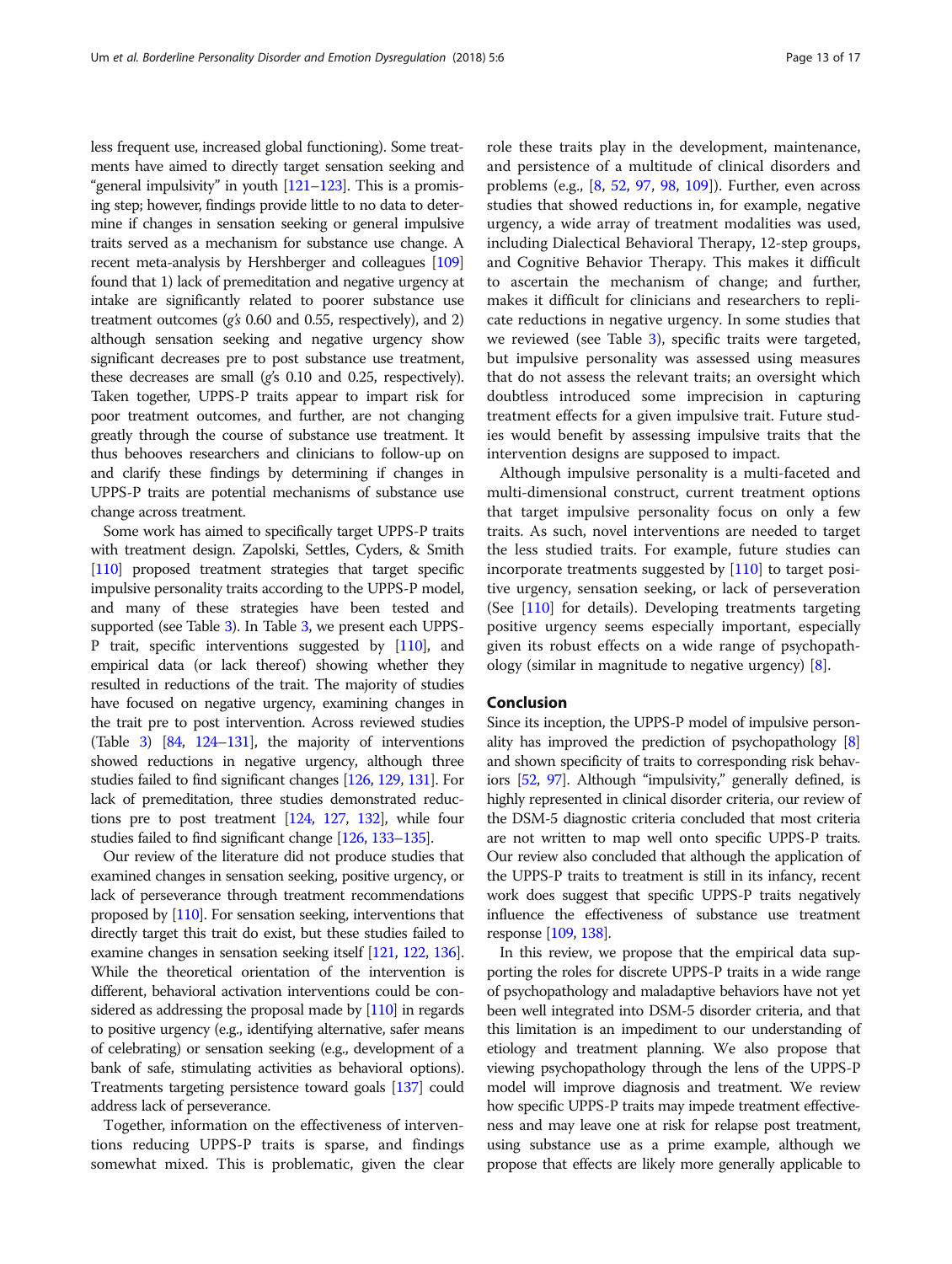less frequent use, increased global functioning). Some treatments have aimed to directly target sensation seeking and "general impulsivity" in youth [\[121](#page-15-0)–[123](#page-15-0)]. This is a promising step; however, findings provide little to no data to determine if changes in sensation seeking or general impulsive traits served as a mechanism for substance use change. A recent meta-analysis by Hershberger and colleagues [\[109](#page-15-0)] found that 1) lack of premeditation and negative urgency at intake are significantly related to poorer substance use treatment outcomes (g's 0.60 and 0.55, respectively), and 2) although sensation seeking and negative urgency show significant decreases pre to post substance use treatment, these decreases are small (g's 0.10 and 0.25, respectively). Taken together, UPPS-P traits appear to impart risk for poor treatment outcomes, and further, are not changing greatly through the course of substance use treatment. It thus behooves researchers and clinicians to follow-up on and clarify these findings by determining if changes in UPPS-P traits are potential mechanisms of substance use change across treatment.

Some work has aimed to specifically target UPPS-P traits with treatment design. Zapolski, Settles, Cyders, & Smith [[110\]](#page-15-0) proposed treatment strategies that target specific impulsive personality traits according to the UPPS-P model, and many of these strategies have been tested and supported (see Table [3](#page-10-0)). In Table [3](#page-10-0), we present each UPPS-P trait, specific interventions suggested by [\[110](#page-15-0)], and empirical data (or lack thereof) showing whether they resulted in reductions of the trait. The majority of studies have focused on negative urgency, examining changes in the trait pre to post intervention. Across reviewed studies (Table [3](#page-10-0)) [\[84,](#page-15-0) [124](#page-15-0)–[131](#page-16-0)], the majority of interventions showed reductions in negative urgency, although three studies failed to find significant changes [[126,](#page-15-0) [129,](#page-16-0) [131](#page-16-0)]. For lack of premeditation, three studies demonstrated reductions pre to post treatment [\[124,](#page-15-0) [127](#page-15-0), [132\]](#page-16-0), while four studies failed to find significant change [[126,](#page-15-0) [133](#page-16-0)–[135\]](#page-16-0).

Our review of the literature did not produce studies that examined changes in sensation seeking, positive urgency, or lack of perseverance through treatment recommendations proposed by [\[110\]](#page-15-0). For sensation seeking, interventions that directly target this trait do exist, but these studies failed to examine changes in sensation seeking itself [\[121](#page-15-0), [122](#page-15-0), [136](#page-16-0)]. While the theoretical orientation of the intervention is different, behavioral activation interventions could be considered as addressing the proposal made by [[110\]](#page-15-0) in regards to positive urgency (e.g., identifying alternative, safer means of celebrating) or sensation seeking (e.g., development of a bank of safe, stimulating activities as behavioral options). Treatments targeting persistence toward goals [\[137](#page-16-0)] could address lack of perseverance.

Together, information on the effectiveness of interventions reducing UPPS-P traits is sparse, and findings somewhat mixed. This is problematic, given the clear role these traits play in the development, maintenance, and persistence of a multitude of clinical disorders and problems (e.g., [[8,](#page-13-0) [52](#page-14-0), [97,](#page-15-0) [98](#page-15-0), [109](#page-15-0)]). Further, even across studies that showed reductions in, for example, negative urgency, a wide array of treatment modalities was used, including Dialectical Behavioral Therapy, 12-step groups, and Cognitive Behavior Therapy. This makes it difficult to ascertain the mechanism of change; and further, makes it difficult for clinicians and researchers to replicate reductions in negative urgency. In some studies that we reviewed (see Table [3\)](#page-10-0), specific traits were targeted, but impulsive personality was assessed using measures that do not assess the relevant traits; an oversight which doubtless introduced some imprecision in capturing treatment effects for a given impulsive trait. Future studies would benefit by assessing impulsive traits that the intervention designs are supposed to impact.

Although impulsive personality is a multi-faceted and multi-dimensional construct, current treatment options that target impulsive personality focus on only a few traits. As such, novel interventions are needed to target the less studied traits. For example, future studies can incorporate treatments suggested by [[110](#page-15-0)] to target positive urgency, sensation seeking, or lack of perseveration (See [\[110](#page-15-0)] for details). Developing treatments targeting positive urgency seems especially important, especially given its robust effects on a wide range of psychopathology (similar in magnitude to negative urgency) [[8\]](#page-13-0).

#### Conclusion

Since its inception, the UPPS-P model of impulsive personality has improved the prediction of psychopathology [[8](#page-13-0)] and shown specificity of traits to corresponding risk behaviors [\[52,](#page-14-0) [97\]](#page-15-0). Although "impulsivity," generally defined, is highly represented in clinical disorder criteria, our review of the DSM-5 diagnostic criteria concluded that most criteria are not written to map well onto specific UPPS-P traits. Our review also concluded that although the application of the UPPS-P traits to treatment is still in its infancy, recent work does suggest that specific UPPS-P traits negatively influence the effectiveness of substance use treatment response [[109,](#page-15-0) [138\]](#page-16-0).

In this review, we propose that the empirical data supporting the roles for discrete UPPS-P traits in a wide range of psychopathology and maladaptive behaviors have not yet been well integrated into DSM-5 disorder criteria, and that this limitation is an impediment to our understanding of etiology and treatment planning. We also propose that viewing psychopathology through the lens of the UPPS-P model will improve diagnosis and treatment. We review how specific UPPS-P traits may impede treatment effectiveness and may leave one at risk for relapse post treatment, using substance use as a prime example, although we propose that effects are likely more generally applicable to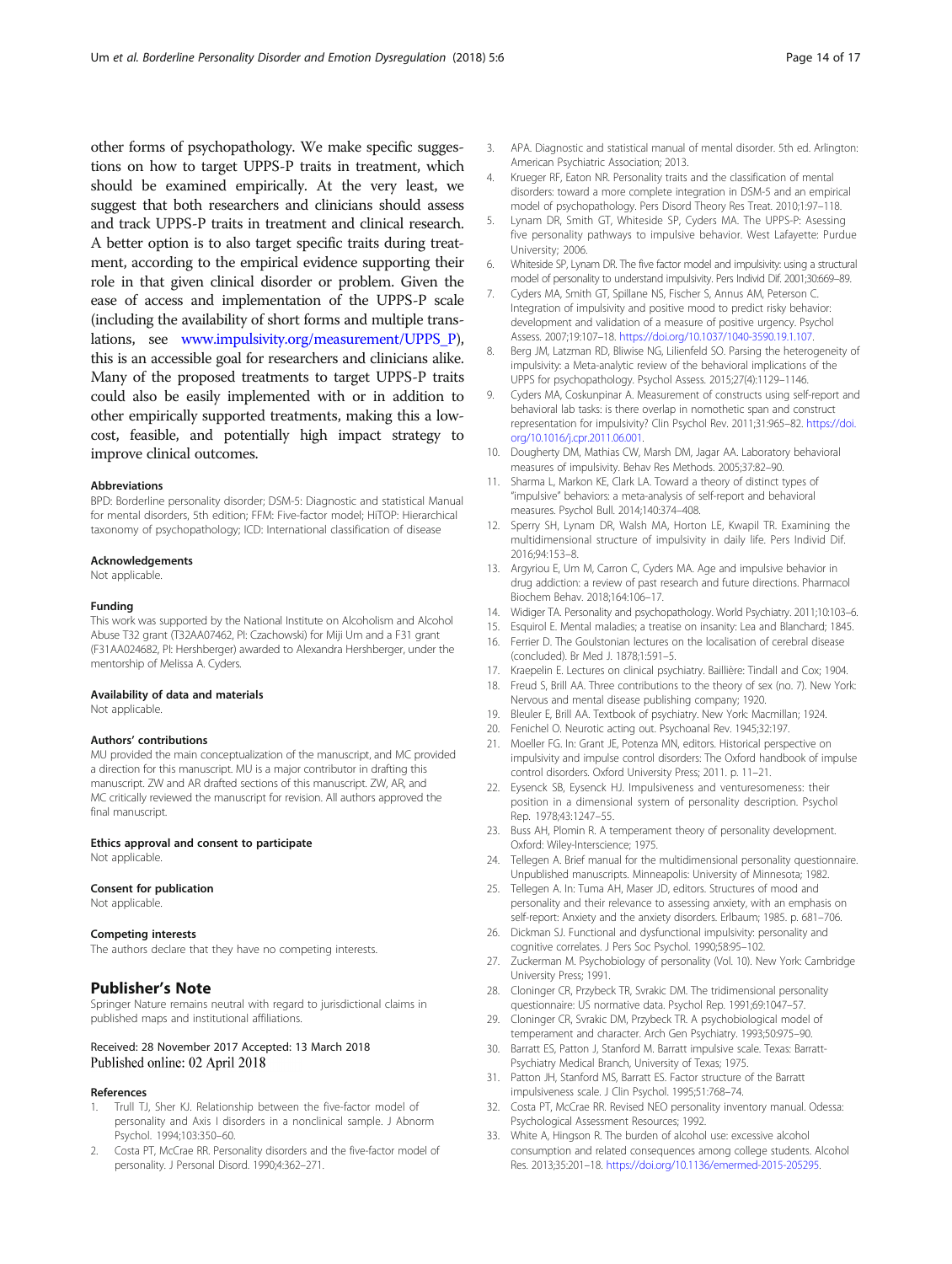<span id="page-13-0"></span>other forms of psychopathology. We make specific suggestions on how to target UPPS-P traits in treatment, which should be examined empirically. At the very least, we suggest that both researchers and clinicians should assess and track UPPS-P traits in treatment and clinical research. A better option is to also target specific traits during treatment, according to the empirical evidence supporting their role in that given clinical disorder or problem. Given the ease of access and implementation of the UPPS-P scale (including the availability of short forms and multiple translations, see [www.impulsivity.org/measurement/UPPS\\_P](http://www.impulsivity.org/measurement/UPPS_P)), this is an accessible goal for researchers and clinicians alike. Many of the proposed treatments to target UPPS-P traits could also be easily implemented with or in addition to other empirically supported treatments, making this a lowcost, feasible, and potentially high impact strategy to improve clinical outcomes.

#### Abbreviations

BPD: Borderline personality disorder; DSM-5: Diagnostic and statistical Manual for mental disorders, 5th edition; FFM: Five-factor model; HiTOP: Hierarchical taxonomy of psychopathology; ICD: International classification of disease

#### Acknowledgements

Not applicable.

#### Funding

This work was supported by the National Institute on Alcoholism and Alcohol Abuse T32 grant (T32AA07462, PI: Czachowski) for Miji Um and a F31 grant (F31AA024682, PI: Hershberger) awarded to Alexandra Hershberger, under the mentorship of Melissa A. Cyders.

#### Availability of data and materials

Not applicable.

#### Authors' contributions

MU provided the main conceptualization of the manuscript, and MC provided a direction for this manuscript. MU is a major contributor in drafting this manuscript. ZW and AR drafted sections of this manuscript. ZW, AR, and MC critically reviewed the manuscript for revision. All authors approved the final manuscript.

## Ethics approval and consent to participate

Not applicable.

### Consent for publication

Not applicable.

#### Competing interests

The authors declare that they have no competing interests.

#### Publisher's Note

Springer Nature remains neutral with regard to jurisdictional claims in published maps and institutional affiliations.

### Received: 28 November 2017 Accepted: 13 March 2018 Published online: 02 April 2018

#### References

- Trull TJ, Sher KJ. Relationship between the five-factor model of personality and Axis I disorders in a nonclinical sample. J Abnorm Psychol. 1994;103:350–60.
- 2. Costa PT, McCrae RR. Personality disorders and the five-factor model of personality. J Personal Disord. 1990;4:362–271.
- 3. APA. Diagnostic and statistical manual of mental disorder. 5th ed. Arlington: American Psychiatric Association; 2013.
- 4. Krueger RF, Eaton NR. Personality traits and the classification of mental disorders: toward a more complete integration in DSM-5 and an empirical model of psychopathology. Pers Disord Theory Res Treat. 2010;1:97–118.
- 5. Lynam DR, Smith GT, Whiteside SP, Cyders MA. The UPPS-P: Asessing five personality pathways to impulsive behavior. West Lafayette: Purdue University; 2006.
- 6. Whiteside SP, Lynam DR. The five factor model and impulsivity: using a structural model of personality to understand impulsivity. Pers Individ Dif. 2001;30:669–89.
- 7. Cyders MA, Smith GT, Spillane NS, Fischer S, Annus AM, Peterson C. Integration of impulsivity and positive mood to predict risky behavior: development and validation of a measure of positive urgency. Psychol Assess. 2007;19:107–18. <https://doi.org/10.1037/1040-3590.19.1.107>.
- 8. Berg JM, Latzman RD, Bliwise NG, Lilienfeld SO. Parsing the heterogeneity of impulsivity: a Meta-analytic review of the behavioral implications of the UPPS for psychopathology. Psychol Assess. 2015;27(4):1129–1146.
- Cyders MA, Coskunpinar A. Measurement of constructs using self-report and behavioral lab tasks: is there overlap in nomothetic span and construct representation for impulsivity? Clin Psychol Rev. 2011;31:965–82. [https://doi.](https://doi.org/10.1016/j.cpr.2011.06.001) [org/10.1016/j.cpr.2011.06.001](https://doi.org/10.1016/j.cpr.2011.06.001).
- 10. Dougherty DM, Mathias CW, Marsh DM, Jagar AA. Laboratory behavioral measures of impulsivity. Behav Res Methods. 2005;37:82–90.
- 11. Sharma L, Markon KE, Clark LA. Toward a theory of distinct types of "impulsive" behaviors: a meta-analysis of self-report and behavioral measures. Psychol Bull. 2014;140:374–408.
- 12. Sperry SH, Lynam DR, Walsh MA, Horton LE, Kwapil TR. Examining the multidimensional structure of impulsivity in daily life. Pers Individ Dif. 2016;94:153–8.
- 13. Argyriou E, Um M, Carron C, Cyders MA. Age and impulsive behavior in drug addiction: a review of past research and future directions. Pharmacol Biochem Behav. 2018;164:106–17.
- 14. Widiger TA. Personality and psychopathology. World Psychiatry. 2011;10:103–6.
- 15. Esquirol E. Mental maladies; a treatise on insanity: Lea and Blanchard; 1845.
- 16. Ferrier D. The Goulstonian lectures on the localisation of cerebral disease (concluded). Br Med J. 1878;1:591–5.
- 17. Kraepelin E. Lectures on clinical psychiatry. Baillière: Tindall and Cox; 1904.
- 18. Freud S, Brill AA. Three contributions to the theory of sex (no. 7). New York: Nervous and mental disease publishing company; 1920.
- 19. Bleuler E, Brill AA. Textbook of psychiatry. New York: Macmillan; 1924.
- 20. Fenichel O. Neurotic acting out. Psychoanal Rev. 1945;32:197.
- 21. Moeller FG. In: Grant JE, Potenza MN, editors. Historical perspective on impulsivity and impulse control disorders: The Oxford handbook of impulse control disorders. Oxford University Press; 2011. p. 11–21.
- 22. Eysenck SB, Eysenck HJ. Impulsiveness and venturesomeness: their position in a dimensional system of personality description. Psychol Rep. 1978;43:1247–55.
- 23. Buss AH, Plomin R. A temperament theory of personality development. Oxford: Wiley-Interscience; 1975.
- 24. Tellegen A. Brief manual for the multidimensional personality questionnaire. Unpublished manuscripts. Minneapolis: University of Minnesota; 1982.
- 25. Tellegen A. In: Tuma AH, Maser JD, editors. Structures of mood and personality and their relevance to assessing anxiety, with an emphasis on self-report: Anxiety and the anxiety disorders. Erlbaum; 1985. p. 681–706.
- 26. Dickman SJ. Functional and dysfunctional impulsivity: personality and cognitive correlates. J Pers Soc Psychol. 1990;58:95–102.
- 27. Zuckerman M. Psychobiology of personality (Vol. 10). New York: Cambridge University Press; 1991.
- 28. Cloninger CR, Przybeck TR, Svrakic DM. The tridimensional personality questionnaire: US normative data. Psychol Rep. 1991;69:1047–57.
- 29. Cloninger CR, Svrakic DM, Przybeck TR. A psychobiological model of temperament and character. Arch Gen Psychiatry. 1993;50:975–90.
- 30. Barratt ES, Patton J, Stanford M. Barratt impulsive scale. Texas: Barratt-Psychiatry Medical Branch, University of Texas; 1975.
- 31. Patton JH, Stanford MS, Barratt ES. Factor structure of the Barratt impulsiveness scale. J Clin Psychol. 1995;51:768–74.
- 32. Costa PT, McCrae RR. Revised NEO personality inventory manual. Odessa: Psychological Assessment Resources; 1992.
- 33. White A, Hingson R. The burden of alcohol use: excessive alcohol consumption and related consequences among college students. Alcohol Res. 2013;35:201–18. [https://doi.org/10.1136/emermed-2015-205295.](https://doi.org/10.1136/emermed-2015-205295)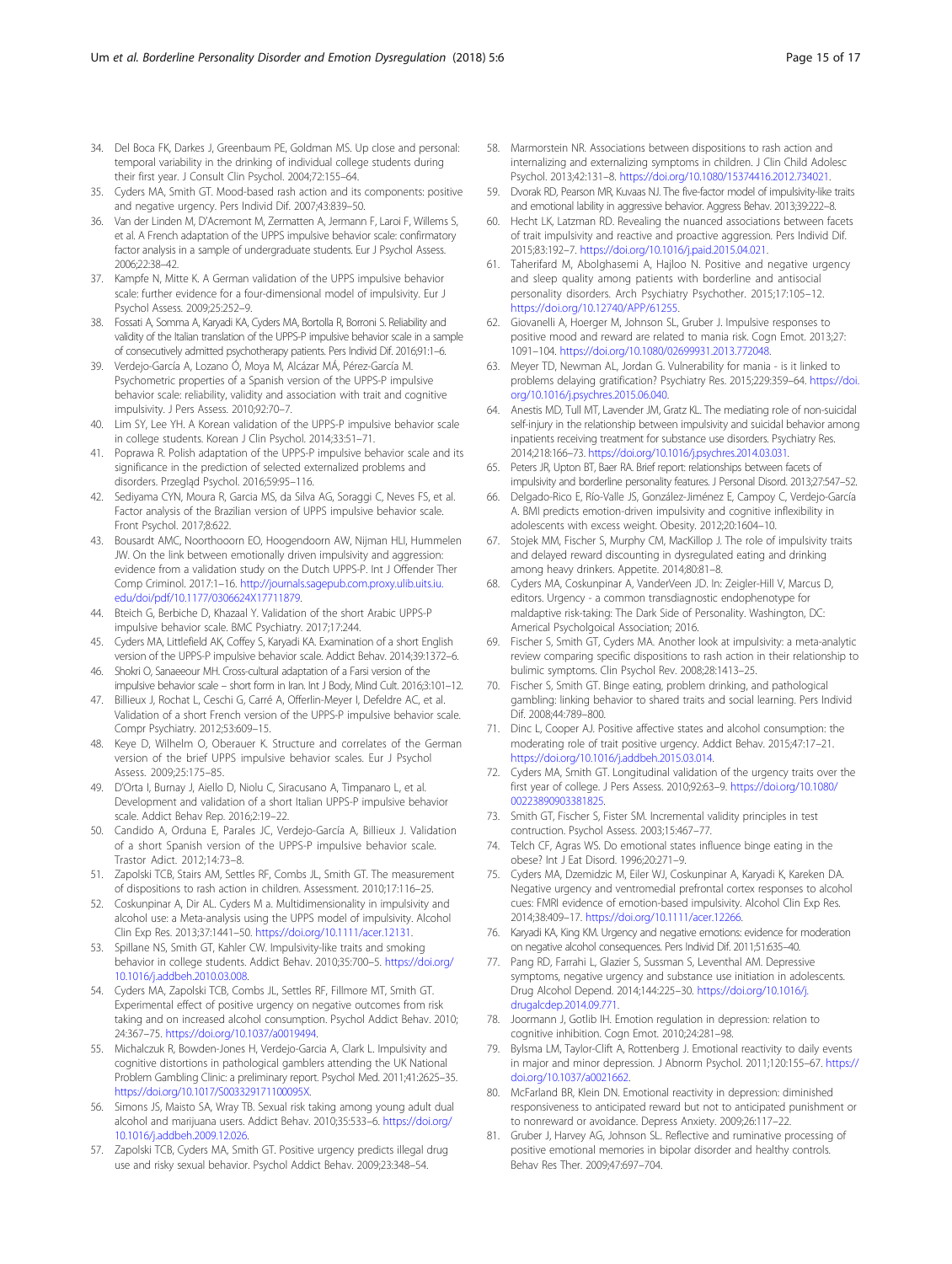- <span id="page-14-0"></span>34. Del Boca FK, Darkes J, Greenbaum PE, Goldman MS. Up close and personal: temporal variability in the drinking of individual college students during their first year. J Consult Clin Psychol. 2004;72:155–64.
- 35. Cyders MA, Smith GT. Mood-based rash action and its components: positive and negative urgency. Pers Individ Dif. 2007;43:839–50.
- 36. Van der Linden M, D'Acremont M, Zermatten A, Jermann F, Laroi F, Willems S, et al. A French adaptation of the UPPS impulsive behavior scale: confirmatory factor analysis in a sample of undergraduate students. Eur J Psychol Assess. 2006;22:38–42.
- 37. Kampfe N, Mitte K. A German validation of the UPPS impulsive behavior scale: further evidence for a four-dimensional model of impulsivity. Eur J Psychol Assess. 2009;25:252–9.
- 38. Fossati A, Somma A, Karyadi KA, Cyders MA, Bortolla R, Borroni S. Reliability and validity of the Italian translation of the UPPS-P impulsive behavior scale in a sample of consecutively admitted psychotherapy patients. Pers Individ Dif. 2016;91:1–6.
- 39. Verdejo-García A, Lozano Ó, Moya M, Alcázar MÁ, Pérez-García M. Psychometric properties of a Spanish version of the UPPS-P impulsive behavior scale: reliability, validity and association with trait and cognitive impulsivity. J Pers Assess. 2010;92:70–7.
- 40. Lim SY, Lee YH. A Korean validation of the UPPS-P impulsive behavior scale in college students. Korean J Clin Psychol. 2014;33:51–71.
- 41. Poprawa R. Polish adaptation of the UPPS-P impulsive behavior scale and its significance in the prediction of selected externalized problems and disorders. Przegląd Psychol. 2016;59:95–116.
- 42. Sediyama CYN, Moura R, Garcia MS, da Silva AG, Soraggi C, Neves FS, et al. Factor analysis of the Brazilian version of UPPS impulsive behavior scale. Front Psychol. 2017;8:622.
- 43. Bousardt AMC, Noorthooorn EO, Hoogendoorn AW, Nijman HLI, Hummelen JW. On the link between emotionally driven impulsivity and aggression: evidence from a validation study on the Dutch UPPS-P. Int J Offender Ther Comp Criminol. 2017:1–16. [http://journals.sagepub.com.proxy.ulib.uits.iu.](http://journals.sagepub.com.proxy.ulib.uits.iu.edu/doi/pdf/10.1177/0306624X17711879) [edu/doi/pdf/10.1177/0306624X17711879.](http://journals.sagepub.com.proxy.ulib.uits.iu.edu/doi/pdf/10.1177/0306624X17711879)
- 44. Bteich G, Berbiche D, Khazaal Y. Validation of the short Arabic UPPS-P impulsive behavior scale. BMC Psychiatry. 2017;17:244.
- 45. Cyders MA, Littlefield AK, Coffey S, Karyadi KA. Examination of a short English version of the UPPS-P impulsive behavior scale. Addict Behav. 2014;39:1372–6.
- 46. Shokri O, Sanaeeour MH. Cross-cultural adaptation of a Farsi version of the impulsive behavior scale – short form in Iran. Int J Body, Mind Cult. 2016;3:101–12.
- 47. Billieux J, Rochat L, Ceschi G, Carré A, Offerlin-Meyer I, Defeldre AC, et al. Validation of a short French version of the UPPS-P impulsive behavior scale. Compr Psychiatry. 2012;53:609–15.
- 48. Keye D, Wilhelm O, Oberauer K. Structure and correlates of the German version of the brief UPPS impulsive behavior scales. Eur J Psychol Assess. 2009;25:175–85.
- 49. D'Orta I, Burnay J, Aiello D, Niolu C, Siracusano A, Timpanaro L, et al. Development and validation of a short Italian UPPS-P impulsive behavior scale. Addict Behav Rep. 2016;2:19–22.
- 50. Candido A, Orduna E, Parales JC, Verdejo-García A, Billieux J. Validation of a short Spanish version of the UPPS-P impulsive behavior scale. Trastor Adict. 2012;14:73–8.
- 51. Zapolski TCB, Stairs AM, Settles RF, Combs JL, Smith GT. The measurement of dispositions to rash action in children. Assessment. 2010;17:116–25.
- 52. Coskunpinar A, Dir AL. Cyders M a. Multidimensionality in impulsivity and alcohol use: a Meta-analysis using the UPPS model of impulsivity. Alcohol Clin Exp Res. 2013;37:1441–50. <https://doi.org/10.1111/acer.12131>.
- 53. Spillane NS, Smith GT, Kahler CW. Impulsivity-like traits and smoking behavior in college students. Addict Behav. 2010;35:700–5. [https://doi.org/](https://doi.org/10.1016/j.addbeh.2010.03.008) [10.1016/j.addbeh.2010.03.008.](https://doi.org/10.1016/j.addbeh.2010.03.008)
- 54. Cyders MA, Zapolski TCB, Combs JL, Settles RF, Fillmore MT, Smith GT. Experimental effect of positive urgency on negative outcomes from risk taking and on increased alcohol consumption. Psychol Addict Behav. 2010; 24:367–75. [https://doi.org/10.1037/a0019494.](https://doi.org/10.1037/a0019494)
- 55. Michalczuk R, Bowden-Jones H, Verdejo-Garcia A, Clark L. Impulsivity and cognitive distortions in pathological gamblers attending the UK National Problem Gambling Clinic: a preliminary report. Psychol Med. 2011;41:2625–35. [https://doi.org/10.1017/S003329171100095X.](https://doi.org/10.1017/S003329171100095X)
- 56. Simons JS, Maisto SA, Wray TB. Sexual risk taking among young adult dual alcohol and marijuana users. Addict Behav. 2010;35:533–6. [https://doi.org/](https://doi.org/10.1016/j.addbeh.2009.12.026) [10.1016/j.addbeh.2009.12.026.](https://doi.org/10.1016/j.addbeh.2009.12.026)
- 57. Zapolski TCB, Cyders MA, Smith GT. Positive urgency predicts illegal drug use and risky sexual behavior. Psychol Addict Behav. 2009;23:348–54.
- 58. Marmorstein NR. Associations between dispositions to rash action and internalizing and externalizing symptoms in children. J Clin Child Adolesc Psychol. 2013;42:131–8. [https://doi.org/10.1080/15374416.2012.734021.](https://doi.org/10.1080/15374416.2012.734021)
- 59. Dvorak RD, Pearson MR, Kuvaas NJ. The five-factor model of impulsivity-like traits and emotional lability in aggressive behavior. Aggress Behav. 2013;39:222–8.
- 60. Hecht LK, Latzman RD. Revealing the nuanced associations between facets of trait impulsivity and reactive and proactive aggression. Pers Individ Dif. 2015;83:192–7. [https://doi.org/10.1016/j.paid.2015.04.021.](https://doi.org/10.1016/j.paid.2015.04.021)
- 61. Taherifard M, Abolghasemi A, Hajloo N. Positive and negative urgency and sleep quality among patients with borderline and antisocial personality disorders. Arch Psychiatry Psychother. 2015;17:105–12. <https://doi.org/10.12740/APP/61255>.
- 62. Giovanelli A, Hoerger M, Johnson SL, Gruber J. Impulsive responses to positive mood and reward are related to mania risk. Cogn Emot. 2013;27: 1091–104. <https://doi.org/10.1080/02699931.2013.772048>.
- 63. Meyer TD, Newman AL, Jordan G. Vulnerability for mania is it linked to problems delaying gratification? Psychiatry Res. 2015;229:359–64. [https://doi.](https://doi.org/10.1016/j.psychres.2015.06.040) [org/10.1016/j.psychres.2015.06.040](https://doi.org/10.1016/j.psychres.2015.06.040).
- 64. Anestis MD, Tull MT, Lavender JM, Gratz KL. The mediating role of non-suicidal self-injury in the relationship between impulsivity and suicidal behavior among inpatients receiving treatment for substance use disorders. Psychiatry Res. 2014;218:166–73. [https://doi.org/10.1016/j.psychres.2014.03.031.](https://doi.org/10.1016/j.psychres.2014.03.031)
- 65. Peters JR, Upton BT, Baer RA. Brief report: relationships between facets of impulsivity and borderline personality features. J Personal Disord. 2013;27:547–52.
- 66. Delgado-Rico E, Río-Valle JS, González-Jiménez E, Campoy C, Verdejo-García A. BMI predicts emotion-driven impulsivity and cognitive inflexibility in adolescents with excess weight. Obesity. 2012;20:1604–10.
- 67. Stojek MM, Fischer S, Murphy CM, MacKillop J. The role of impulsivity traits and delayed reward discounting in dysregulated eating and drinking among heavy drinkers. Appetite. 2014;80:81–8.
- 68. Cyders MA, Coskunpinar A, VanderVeen JD. In: Zeigler-Hill V, Marcus D, editors. Urgency - a common transdiagnostic endophenotype for maldaptive risk-taking: The Dark Side of Personality. Washington, DC: Americal Psycholgoical Association; 2016.
- 69. Fischer S, Smith GT, Cyders MA. Another look at impulsivity: a meta-analytic review comparing specific dispositions to rash action in their relationship to bulimic symptoms. Clin Psychol Rev. 2008;28:1413–25.
- 70. Fischer S, Smith GT. Binge eating, problem drinking, and pathological gambling: linking behavior to shared traits and social learning. Pers Individ Dif. 2008;44:789–800.
- 71. Dinc L, Cooper AJ. Positive affective states and alcohol consumption: the moderating role of trait positive urgency. Addict Behav. 2015;47:17–21. [https://doi.org/10.1016/j.addbeh.2015.03.014.](https://doi.org/10.1016/j.addbeh.2015.03.014)
- 72. Cyders MA, Smith GT. Longitudinal validation of the urgency traits over the first year of college. J Pers Assess. 2010;92:63–9. [https://doi.org/10.1080/](https://doi.org/10.1080/00223890903381825) [00223890903381825.](https://doi.org/10.1080/00223890903381825)
- 73. Smith GT, Fischer S, Fister SM. Incremental validity principles in test contruction. Psychol Assess. 2003;15:467–77.
- 74. Telch CF, Agras WS. Do emotional states influence binge eating in the obese? Int J Eat Disord. 1996;20:271–9.
- 75. Cyders MA, Dzemidzic M, Eiler WJ, Coskunpinar A, Karyadi K, Kareken DA. Negative urgency and ventromedial prefrontal cortex responses to alcohol cues: FMRI evidence of emotion-based impulsivity. Alcohol Clin Exp Res. 2014;38:409–17. [https://doi.org/10.1111/acer.12266.](https://doi.org/10.1111/acer.12266)
- 76. Karyadi KA, King KM. Urgency and negative emotions: evidence for moderation on negative alcohol consequences. Pers Individ Dif. 2011;51:635–40.
- 77. Pang RD, Farrahi L, Glazier S, Sussman S, Leventhal AM. Depressive symptoms, negative urgency and substance use initiation in adolescents. Drug Alcohol Depend. 2014;144:225–30. [https://doi.org/10.1016/j.](https://doi.org/10.1016/j.drugalcdep.2014.09.771) [drugalcdep.2014.09.771](https://doi.org/10.1016/j.drugalcdep.2014.09.771).
- 78. Joormann J, Gotlib IH. Emotion regulation in depression: relation to cognitive inhibition. Cogn Emot. 2010;24:281–98.
- 79. Bylsma LM, Taylor-Clift A, Rottenberg J. Emotional reactivity to daily events in major and minor depression. J Abnorm Psychol. 2011;120:155–67. [https://](https://doi.org/10.1037/a0021662) [doi.org/10.1037/a0021662](https://doi.org/10.1037/a0021662).
- 80. McFarland BR, Klein DN. Emotional reactivity in depression: diminished responsiveness to anticipated reward but not to anticipated punishment or to nonreward or avoidance. Depress Anxiety. 2009;26:117–22.
- 81. Gruber J, Harvey AG, Johnson SL. Reflective and ruminative processing of positive emotional memories in bipolar disorder and healthy controls. Behav Res Ther. 2009;47:697–704.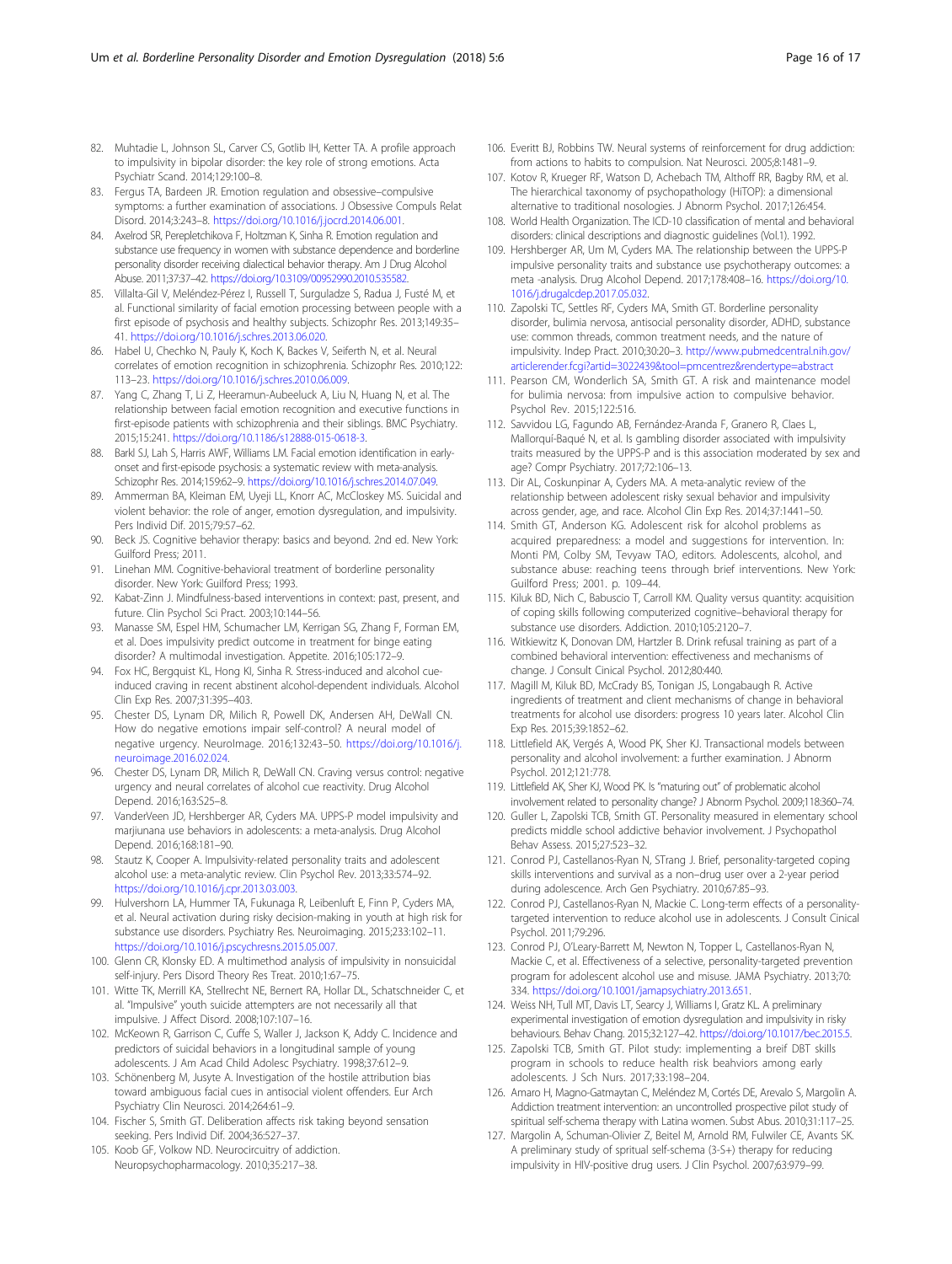- <span id="page-15-0"></span>82. Muhtadie L, Johnson SL, Carver CS, Gotlib IH, Ketter TA. A profile approach to impulsivity in bipolar disorder: the key role of strong emotions. Acta Psychiatr Scand. 2014;129:100–8.
- 83. Fergus TA, Bardeen JR. Emotion regulation and obsessive–compulsive symptoms: a further examination of associations. J Obsessive Compuls Relat Disord. 2014;3:243–8. [https://doi.org/10.1016/j.jocrd.2014.06.001.](https://doi.org/10.1016/j.jocrd.2014.06.001)
- 84. Axelrod SR, Perepletchikova F, Holtzman K, Sinha R. Emotion regulation and substance use frequency in women with substance dependence and borderline personality disorder receiving dialectical behavior therapy. Am J Drug Alcohol Abuse. 2011;37:37–42. [https://doi.org/10.3109/00952990.2010.535582.](https://doi.org/10.3109/00952990.2010.535582)
- 85. Villalta-Gil V, Meléndez-Pérez I, Russell T, Surguladze S, Radua J, Fusté M, et al. Functional similarity of facial emotion processing between people with a first episode of psychosis and healthy subjects. Schizophr Res. 2013;149:35– 41. [https://doi.org/10.1016/j.schres.2013.06.020.](https://doi.org/10.1016/j.schres.2013.06.020)
- 86. Habel U, Chechko N, Pauly K, Koch K, Backes V, Seiferth N, et al. Neural correlates of emotion recognition in schizophrenia. Schizophr Res. 2010;122: 113–23. <https://doi.org/10.1016/j.schres.2010.06.009>.
- 87. Yang C, Zhang T, Li Z, Heeramun-Aubeeluck A, Liu N, Huang N, et al. The relationship between facial emotion recognition and executive functions in first-episode patients with schizophrenia and their siblings. BMC Psychiatry. 2015;15:241. [https://doi.org/10.1186/s12888-015-0618-3.](https://doi.org/10.1186/s12888-015-0618-3)
- 88. Barkl SJ, Lah S, Harris AWF, Williams LM. Facial emotion identification in earlyonset and first-episode psychosis: a systematic review with meta-analysis. Schizophr Res. 2014;159:62–9. [https://doi.org/10.1016/j.schres.2014.07.049.](https://doi.org/10.1016/j.schres.2014.07.049)
- 89. Ammerman BA, Kleiman EM, Uyeji LL, Knorr AC, McCloskey MS. Suicidal and violent behavior: the role of anger, emotion dysregulation, and impulsivity. Pers Individ Dif. 2015;79:57–62.
- 90. Beck JS. Cognitive behavior therapy: basics and beyond. 2nd ed. New York: Guilford Press; 2011.
- 91. Linehan MM. Cognitive-behavioral treatment of borderline personality disorder. New York: Guilford Press; 1993.
- 92. Kabat-Zinn J. Mindfulness-based interventions in context: past, present, and future. Clin Psychol Sci Pract. 2003;10:144–56.
- 93. Manasse SM, Espel HM, Schumacher LM, Kerrigan SG, Zhang F, Forman EM, et al. Does impulsivity predict outcome in treatment for binge eating disorder? A multimodal investigation. Appetite. 2016;105:172–9.
- 94. Fox HC, Bergquist KL, Hong KI, Sinha R. Stress-induced and alcohol cueinduced craving in recent abstinent alcohol-dependent individuals. Alcohol Clin Exp Res. 2007;31:395–403.
- 95. Chester DS, Lynam DR, Milich R, Powell DK, Andersen AH, DeWall CN. How do negative emotions impair self-control? A neural model of negative urgency. NeuroImage. 2016;132:43–50. [https://doi.org/10.1016/j.](https://doi.org/10.1016/j.neuroimage.2016.02.024) [neuroimage.2016.02.024](https://doi.org/10.1016/j.neuroimage.2016.02.024).
- 96. Chester DS, Lynam DR, Milich R, DeWall CN. Craving versus control: negative urgency and neural correlates of alcohol cue reactivity. Drug Alcohol Depend. 2016;163:S25–8.
- 97. VanderVeen JD, Hershberger AR, Cyders MA. UPPS-P model impulsivity and marjiunana use behaviors in adolescents: a meta-analysis. Drug Alcohol Depend. 2016;168:181–90.
- 98. Stautz K, Cooper A. Impulsivity-related personality traits and adolescent alcohol use: a meta-analytic review. Clin Psychol Rev. 2013;33:574–92. [https://doi.org/10.1016/j.cpr.2013.03.003.](https://doi.org/10.1016/j.cpr.2013.03.003)
- 99. Hulvershorn LA, Hummer TA, Fukunaga R, Leibenluft E, Finn P, Cyders MA, et al. Neural activation during risky decision-making in youth at high risk for substance use disorders. Psychiatry Res. Neuroimaging. 2015;233:102–11. [https://doi.org/10.1016/j.pscychresns.2015.05.007.](https://doi.org/10.1016/j.pscychresns.2015.05.007)
- 100. Glenn CR, Klonsky ED. A multimethod analysis of impulsivity in nonsuicidal self-injury. Pers Disord Theory Res Treat. 2010;1:67–75.
- 101. Witte TK, Merrill KA, Stellrecht NE, Bernert RA, Hollar DL, Schatschneider C, et al. "Impulsive" youth suicide attempters are not necessarily all that impulsive. J Affect Disord. 2008;107:107–16.
- 102. McKeown R, Garrison C, Cuffe S, Waller J, Jackson K, Addy C. Incidence and predictors of suicidal behaviors in a longitudinal sample of young adolescents. J Am Acad Child Adolesc Psychiatry. 1998;37:612–9.
- 103. Schönenberg M, Jusyte A. Investigation of the hostile attribution bias toward ambiguous facial cues in antisocial violent offenders. Eur Arch Psychiatry Clin Neurosci. 2014;264:61–9.
- 104. Fischer S, Smith GT. Deliberation affects risk taking beyond sensation seeking. Pers Individ Dif. 2004;36:527–37.
- 105. Koob GF, Volkow ND. Neurocircuitry of addiction. Neuropsychopharmacology. 2010;35:217–38.
- 106. Everitt BJ, Robbins TW. Neural systems of reinforcement for drug addiction: from actions to habits to compulsion. Nat Neurosci. 2005;8:1481–9.
- 107. Kotov R, Krueger RF, Watson D, Achebach TM, Althoff RR, Bagby RM, et al. The hierarchical taxonomy of psychopathology (HiTOP): a dimensional alternative to traditional nosologies. J Abnorm Psychol. 2017;126:454.
- 108. World Health Organization. The ICD-10 classification of mental and behavioral disorders: clinical descriptions and diagnostic guidelines (Vol.1). 1992.
- 109. Hershberger AR, Um M, Cyders MA. The relationship between the UPPS-P impulsive personality traits and substance use psychotherapy outcomes: a meta -analysis. Drug Alcohol Depend. 2017;178:408–16. [https://doi.org/10.](https://doi.org/10.1016/j.drugalcdep.2017.05.032) [1016/j.drugalcdep.2017.05.032](https://doi.org/10.1016/j.drugalcdep.2017.05.032).
- 110. Zapolski TC, Settles RF, Cyders MA, Smith GT. Borderline personality disorder, bulimia nervosa, antisocial personality disorder, ADHD, substance use: common threads, common treatment needs, and the nature of impulsivity. Indep Pract. 2010;30:20–3. [http://www.pubmedcentral.nih.gov/](http://www.pubmedcentral.nih.gov/articlerender.fcgi?artid=3022439&tool=pmcentrez&rendertype=abstract) [articlerender.fcgi?artid=3022439&tool=pmcentrez&rendertype=abstract](http://www.pubmedcentral.nih.gov/articlerender.fcgi?artid=3022439&tool=pmcentrez&rendertype=abstract)
- 111. Pearson CM, Wonderlich SA, Smith GT. A risk and maintenance model for bulimia nervosa: from impulsive action to compulsive behavior. Psychol Rev. 2015;122:516.
- 112. Savvidou LG, Fagundo AB, Fernández-Aranda F, Granero R, Claes L, Mallorquí-Baqué N, et al. Is gambling disorder associated with impulsivity traits measured by the UPPS-P and is this association moderated by sex and age? Compr Psychiatry. 2017;72:106–13.
- 113. Dir AL, Coskunpinar A, Cyders MA. A meta-analytic review of the relationship between adolescent risky sexual behavior and impulsivity across gender, age, and race. Alcohol Clin Exp Res. 2014;37:1441–50.
- 114. Smith GT, Anderson KG. Adolescent risk for alcohol problems as acquired preparedness: a model and suggestions for intervention. In: Monti PM, Colby SM, Tevyaw TAO, editors. Adolescents, alcohol, and substance abuse: reaching teens through brief interventions. New York: Guilford Press; 2001. p. 109–44.
- 115. Kiluk BD, Nich C, Babuscio T, Carroll KM. Quality versus quantity: acquisition of coping skills following computerized cognitive–behavioral therapy for substance use disorders. Addiction. 2010;105:2120–7.
- 116. Witkiewitz K, Donovan DM, Hartzler B. Drink refusal training as part of a combined behavioral intervention: effectiveness and mechanisms of change. J Consult Cinical Psychol. 2012;80:440.
- 117. Magill M, Kiluk BD, McCrady BS, Tonigan JS, Longabaugh R. Active ingredients of treatment and client mechanisms of change in behavioral treatments for alcohol use disorders: progress 10 years later. Alcohol Clin Exp Res. 2015;39:1852–62.
- 118. Littlefield AK, Vergés A, Wood PK, Sher KJ. Transactional models between personality and alcohol involvement: a further examination. J Abnorm Psychol. 2012;121:778.
- 119. Littlefield AK, Sher KJ, Wood PK. Is "maturing out" of problematic alcohol involvement related to personality change? J Abnorm Psychol. 2009;118:360–74.
- 120. Guller L, Zapolski TCB, Smith GT. Personality measured in elementary school predicts middle school addictive behavior involvement. J Psychopathol Behav Assess. 2015;27:523–32.
- 121. Conrod PJ, Castellanos-Ryan N, STrang J. Brief, personality-targeted coping skills interventions and survival as a non–drug user over a 2-year period during adolescence. Arch Gen Psychiatry. 2010;67:85–93.
- 122. Conrod PJ, Castellanos-Ryan N, Mackie C. Long-term effects of a personalitytargeted intervention to reduce alcohol use in adolescents. J Consult Cinical Psychol. 2011;79:296.
- 123. Conrod PJ, O'Leary-Barrett M, Newton N, Topper L, Castellanos-Ryan N, Mackie C, et al. Effectiveness of a selective, personality-targeted prevention program for adolescent alcohol use and misuse. JAMA Psychiatry. 2013;70: 334. [https://doi.org/10.1001/jamapsychiatry.2013.651.](https://doi.org/10.1001/jamapsychiatry.2013.651)
- 124. Weiss NH, Tull MT, Davis LT, Searcy J, Williams I, Gratz KL. A preliminary experimental investigation of emotion dysregulation and impulsivity in risky behaviours. Behav Chang. 2015;32:127–42. [https://doi.org/10.1017/bec.2015.5.](https://doi.org/10.1017/bec.2015.5)
- 125. Zapolski TCB, Smith GT. Pilot study: implementing a breif DBT skills program in schools to reduce health risk beahviors among early adolescents. J Sch Nurs. 2017;33:198–204.
- 126. Amaro H, Magno-Gatmaytan C, Meléndez M, Cortés DE, Arevalo S, Margolin A. Addiction treatment intervention: an uncontrolled prospective pilot study of spiritual self-schema therapy with Latina women. Subst Abus. 2010;31:117–25.
- 127. Margolin A, Schuman-Olivier Z, Beitel M, Arnold RM, Fulwiler CE, Avants SK. A preliminary study of spritual self-schema (3-S+) therapy for reducing impulsivity in HIV-positive drug users. J Clin Psychol. 2007;63:979–99.